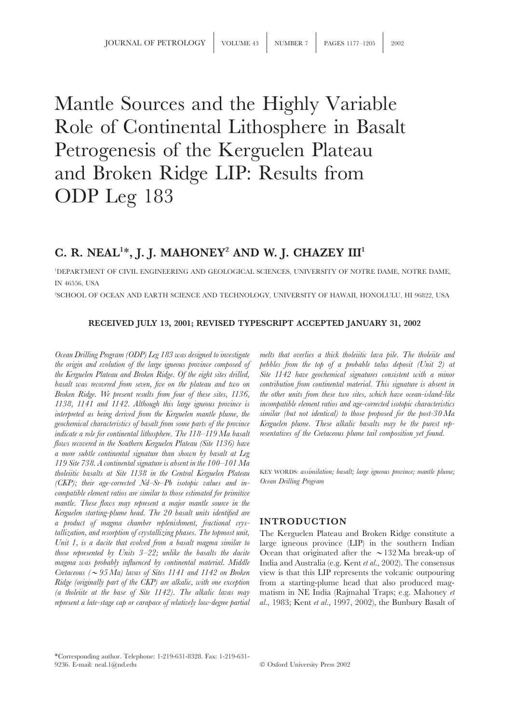Mantle Sources and the Highly Variable Role of Continental Lithosphere in Basalt Petrogenesis of the Kerguelen Plateau and Broken Ridge LIP: Results from ODP Leg 183

# **C. R. NEAL1** ∗**, J. J. MAHONEY2 AND W. J. CHAZEY III1**

1 DEPARTMENT OF CIVIL ENGINEERING AND GEOLOGICAL SCIENCES, UNIVERSITY OF NOTRE DAME, NOTRE DAME, IN 46556, USA

2 SCHOOL OF OCEAN AND EARTH SCIENCE AND TECHNOLOGY, UNIVERSITY OF HAWAII, HONOLULU, HI 96822, USA

## **RECEIVED JULY 13, 2001; REVISED TYPESCRIPT ACCEPTED JANUARY 31, 2002**

*Ocean Drilling Program (ODP) Leg 183 was designed to investigate melts that overlies a thick tholeiitic lava pile. The tholeiite and the origin and evolution of the large igneous province composed of pebbles from the top of a probable talus deposit (Unit 2) at the Kerguelen Plateau and Broken Ridge. Of the eight sites drilled, Site 1142 have geochemical signatures consistent with a minor basalt was recovered from seven, five on the plateau and two on contribution from continental material. This signature is absent in Broken Ridge. We present results from four of these sites, 1136, the other units from these two sites, which have ocean-island-like 1138, 1141 and 1142. Although this large igneous province is incompatible element ratios and age-corrected isotopic characteristics interpreted as being derived from the Kerguelen mantle plume, the similar (but not identical) to those proposed for the post-30 Ma geochemical characteristics of basalt from some parts of the province Kerguelen plume. These alkalic basalts may be the purest repindicate a role for continental lithosphere. The 118–119 Ma basalt resentatives of the Cretaceous plume tail composition yet found. flows recovered in the Southern Kerguelen Plateau (Site 1136) have a more subtle continental signature than shown by basalt at Leg 119 Site 738. A continental signature is absent in the 100–101 Ma* tholeitic basalts at Site 1138 in the Central Kerguelen Plateau KEY WORDS: assimilation; basalt; large igneous province; mantle plume;<br>(CKP): their age-corrected Nd-Sr-Ph isotothic values and in- Ocean Drilling Program *(CKP)*; their age-corrected  $Nd-Sr-Pb$  isotopic values and in*compatible element ratios are similar to those estimated for primitive mantle. These flows may represent a major mantle source in the Kerguelen starting-plume head. The 20 basalt units identified are a product of magma chamber replenishment, fractional crys-* **INTRODUCTION** *tallization, and resorption of crystallizing phases. The topmost unit,* The Kerguelen Plateau and Broken Ridge constitute a *Unit 1, is a dacite that evolved from a basalt magma similar to* large igneous province (LIP) in the southern Indian *magma was probably influenced by continental material. Middle* India and Australia (e.g. Kent *et al.*, 2002). The consensus *Cretaceous (*>*95 Ma) lavas of Sites 1141 and 1142 on Broken* view is that this LIP represents the volcanic outpouring *Ridge (originally part of the CKP) are alkalic, with one exception* from a starting-plume head that also produced mag *represent a late-stage cap or carapace of relatively low-degree partial al.*, 1983; Kent *et al.*, 1997, 2002), the Bunbury Basalt of

*those represented by Units 3–22; unlike the basalts the dacite* Ocean that originated after the  $\sim$ 132 Ma break-up of *(a tholeiite at the base of Site 1142). The alkalic lavas may* matism in NE India (Rajmahal Traps; e.g. Mahoney *et*

∗Corresponding author. Telephone: 1-219-631-8328. Fax: 1-219-631- 9236. E-mail: neal.1@nd.edu Oxford University Press 2002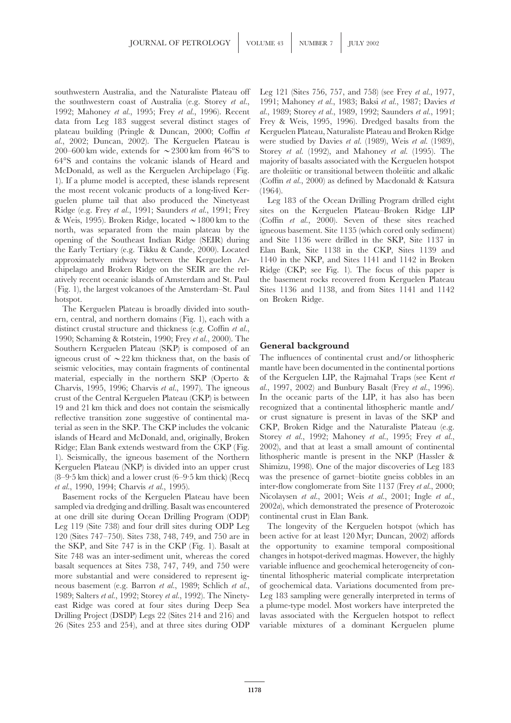the southwestern coast of Australia (e.g. Storey *et al.*, 1991; Mahoney *et al.*, 1983; Baksi *et al.*, 1987; Davies *et* 1992; Mahoney *et al.*, 1995; Frey *et al.*, 1996). Recent *al.*, 1989; Storey *et al.*, 1989, 1992; Saunders *et al.*, 1991; data from Leg 183 suggest several distinct stages of Frey & Weis, 1995, 1996). Dredged basalts from the plateau building (Pringle & Duncan, 2000; Coffin *et* Kerguelen Plateau, Naturaliste Plateau and Broken Ridge *al.*, 2002; Duncan, 2002). The Kerguelen Plateau is were studied by Davies *et al.* (1989), Weis *et al.* (1989), 200–600 km wide, extends for >2300 km from 46°S to Storey *et al.* (1992), and Mahoney *et al.* (1995). The 64°S and contains the volcanic islands of Heard and majority of basalts associated with the Kerguelen hotspot McDonald, as well as the Kerguelen Archipelago (Fig. are tholeiitic or transitional between tholeiitic and alkalic 1). If a plume model is accepted, these islands represent (Coffin *et al.*, 2000) as defined by Macdonald & Katsura the most recent volcanic products of a long-lived Ker- (1964). guelen plume tail that also produced the Ninetyeast Leg 183 of the Ocean Drilling Program drilled eight Ridge (e.g. Frey *et al.*, 1991; Saunders *et al.*, 1991; Frey sites on the Kerguelen Plateau–Broken Ridge LIP & Weis, 1995). Broken Ridge, located  $\sim$  1800 km to the (Coffin *et al.*, 2000). Seven of these sites reached north, was separated from the main plateau by the igneous basement. Site 1135 (which cored only sediment) opening of the Southeast Indian Ridge (SEIR) during and Site 1136 were drilled in the SKP, Site 1137 in the Early Tertiary (e.g. Tikku & Cande, 2000). Located Elan Bank, Site 1138 in the CKP, Sites 1139 and approximately midway between the Kerguelen Ar- 1140 in the NKP, and Sites 1141 and 1142 in Broken chipelago and Broken Ridge on the SEIR are the rel- Ridge (CKP; see Fig. 1). The focus of this paper is atively recent oceanic islands of Amsterdam and St. Paul the basement rocks recovered from Kerguelen Plateau (Fig. 1), the largest volcanoes of the Amsterdam–St. Paul Sites 1136 and 1138, and from Sites 1141 and 1142 hotspot. **but a contract that the contract of the contract on Broken Ridge**.

The Kerguelen Plateau is broadly divided into southern, central, and northern domains (Fig. 1), each with a distinct crustal structure and thickness (e.g. Coffin *et al.*, 1990; Schaming & Rotstein, 1990; Frey *et al.*, 2000). The Southern Kerguelen Plateau (SKP) is composed of an **General background** igneous crust of  $\sim$  22 km thickness that, on the basis of The influences of continental crust and/or lithospheric seismic velocities, may contain fragments of continental mantle have been documented in the continental portions material, especially in the northern SKP (Operto & of the Kerguelen LIP, the Rajmahal Traps (see Kent *et* Charvis, 1995, 1996; Charvis *et al.*, 1997). The igneous *al.*, 1997, 2002) and Bunbury Basalt (Frey *et al.*, 1996). crust of the Central Kerguelen Plateau (CKP) is between In the oceanic parts of the LIP, it has also has been 19 and 21 km thick and does not contain the seismically recognized that a continental lithospheric mantle and/<br>reflective transition zone suggestive of continental ma- or crust signature is present in lavas of the SKP and reflective transition zone suggestive of continental ma- or crust signature is present in lavas of the SKP and<br>terial as seen in the SKP. The CKP includes the volcanic CKP, Broken Ridge and the Naturaliste Plateau (e.g. terial as seen in the SKP. The CKP includes the volcanic islands of Heard and McDonald, and, originally, Broken Storey *et al.*, 1992; Mahoney *et al.*, 1995; Frey *et al.*, Ridge; Elan Bank extends westward from the CKP (Fig. 2002), and that at least a small amount of continental 1). Seismically, the igneous basement of the Northern lithospheric mantle is present in the NKP (Hassler & 1). Seismically, the igneous basement of the Northern Kerguelen Plateau (NKP) is divided into an upper crust Shimizu, 1998). One of the major discoveries of Leg 183  $(8-9.5 \text{ km thick})$  and a lower crust  $(6-9.5 \text{ km thick})$  (Recq was the presence of garnet–biotite gneiss cobbles in an *et al.*, 1990, 1994; Charvis *et al.*, 1995). inter-flow conglomerate from Site 1137 (Frey *et al.*, 2000;

sampled via dredging and drilling. Basalt was encountered 2002*a*), which demonstrated the presence of Proterozoic at one drill site during Ocean Drilling Program (ODP) continental crust in Elan Bank. Leg 119 (Site 738) and four drill sites during ODP Leg The longevity of the Kerguelen hotspot (which has 120 (Sites 747–750). Sites 738, 748, 749, and 750 are in been active for at least 120 Myr; Duncan, 2002) affords the SKP, and Site 747 is in the CKP (Fig. 1). Basalt at the opportunity to examine temporal compositional Site 748 was an inter-sediment unit, whereas the cored changes in hotspot-derived magmas. However, the highly basalt sequences at Sites 738, 747, 749, and 750 were variable influence and geochemical heterogeneity of conmore substantial and were considered to represent ig- tinental lithospheric material complicate interpretation neous basement (e.g. Barron *et al.*, 1989; Schlich *et al.*, of geochemical data. Variations documented from pre-1989; Salters *et al.*, 1992; Storey *et al.*, 1992). The Ninety- Leg 183 sampling were generally interpreted in terms of east Ridge was cored at four sites during Deep Sea a plume-type model. Most workers have interpreted the Drilling Project (DSDP) Legs 22 (Sites 214 and 216) and lavas associated with the Kerguelen hotspot to reflect 26 (Sites 253 and 254), and at three sites during ODP variable mixtures of a dominant Kerguelen plume

southwestern Australia, and the Naturaliste Plateau off Leg 121 (Sites 756, 757, and 758) (see Frey *et al.*, 1977,

sites on the Kerguelen Plateau–Broken Ridge LIP

Basement rocks of the Kerguelen Plateau have been Nicolaysen *et al.*, 2001; Weis *et al.*, 2001; Ingle *et al*.,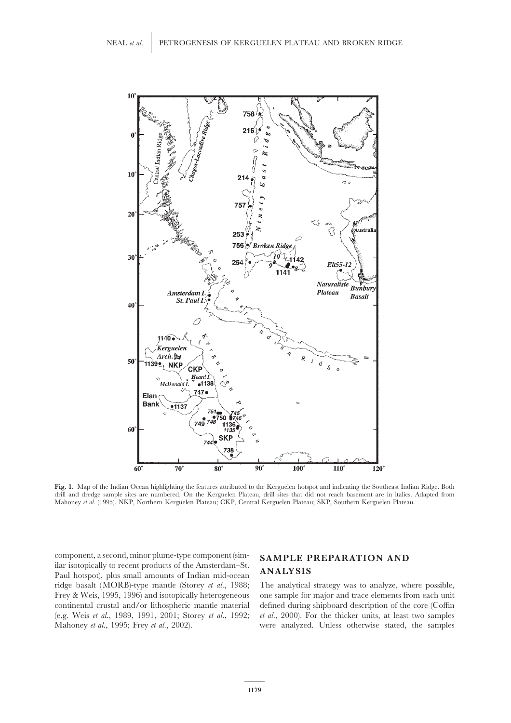

**Fig. 1.** Map of the Indian Ocean highlighting the features attributed to the Kerguelen hotspot and indicating the Southeast Indian Ridge. Both drill and dredge sample sites are numbered. On the Kerguelen Plateau, drill sites that did not reach basement are in italics. Adapted from Mahoney *et al.* (1995). NKP, Northern Kerguelen Plateau; CKP, Central Kerguelen Plateau; SKP, Southern Kerguelen Plateau.

component, a second, minor plume-type component (sim- **SAMPLE PREPARATION AND** ilar isotopically to recent products of the Amsterdam–St. **ANALYSIS** Paul hotspot), plus small amounts of Indian mid-ocean ridge basalt (MORB)-type mantle (Storey *et al.*, 1988; The analytical strategy was to analyze, where possible, Frey & Weis, 1995, 1996) and isotopically heterogeneous one sample for major and trace elements from each unit continental crustal and/or lithospheric mantle material defined during shipboard description of the core (Coffi (e.g. Weis *et al.*, 1989, 1991, 2001; Storey *et al.*, 1992; *et al.*, 2000). For the thicker units, at least two samples

defined during shipboard description of the core (Coffin were analyzed. Unless otherwise stated, the samples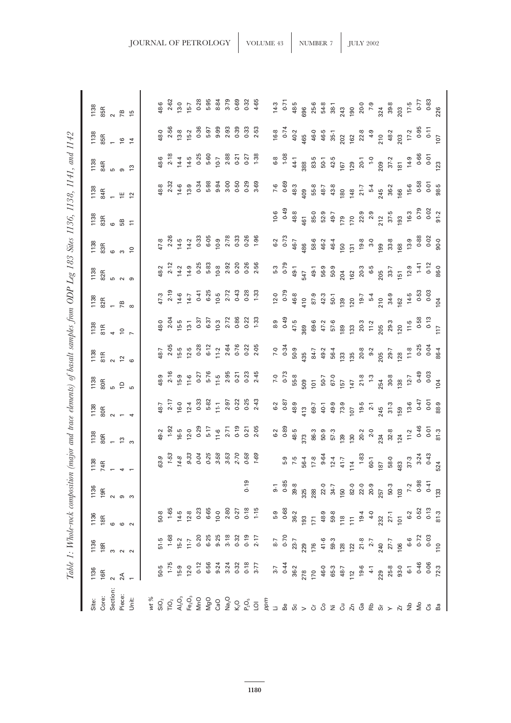|             | Table 1: Whole-rock composition                                                                                                                                |                                                |                                                  |                                                                                                                                                                                                                                            |                                                                                                            |                                    |                                                                                        |                                                                                                                              |                                                                                   |                                                             | (major and trace elements) of basalt samples from ODP Leg 183 Sites 1136, 1138, 1141, and 1142 |                |                                                              |                |                               |                                                                              |                                           |
|-------------|----------------------------------------------------------------------------------------------------------------------------------------------------------------|------------------------------------------------|--------------------------------------------------|--------------------------------------------------------------------------------------------------------------------------------------------------------------------------------------------------------------------------------------------|------------------------------------------------------------------------------------------------------------|------------------------------------|----------------------------------------------------------------------------------------|------------------------------------------------------------------------------------------------------------------------------|-----------------------------------------------------------------------------------|-------------------------------------------------------------|------------------------------------------------------------------------------------------------|----------------|--------------------------------------------------------------|----------------|-------------------------------|------------------------------------------------------------------------------|-------------------------------------------|
| 1136<br>16R | $\begin{array}{c c c c} \mbox{se} & & \mbox{} \\ \mbox{se} & & \mbox{} \\ \mbox{se} & & \mbox{} \\ \mbox{se} & & \mbox{} \\ \mbox{se} & & \mbox{} \end{array}$ |                                                |                                                  | 1138                                                                                                                                                                                                                                       |                                                                                                            | 1138<br>80R                        |                                                                                        |                                                                                                                              |                                                                                   |                                                             | 1138                                                                                           | 1138           |                                                              | 1138           |                               | 1138<br>85R                                                                  |                                           |
|             |                                                                                                                                                                | $\begin{array}{c} 136 \\ 786 \\ 6 \end{array}$ | $\begin{array}{c} 136 \\ 198 \\ 200 \end{array}$ | 74R                                                                                                                                                                                                                                        | $\begin{array}{r} 138 \\ 80R \\ -21 \end{array}$                                                           |                                    |                                                                                        | $\begin{array}{c} 1138 \\ \text{S} \text{R} \\ \text{N} \end{array}$                                                         | $\begin{array}{c} 1138 \\ \text{S} \text{1B} \\ 4 \end{array}$                    | $1138$<br>$82R$<br>$78$<br>$80$<br>$80$                     | 82R<br>5                                                                                       | က္က<br>လ စ က   | $\begin{array}{c} 138 \\ 236 \\ 138 \\ \text{m} \end{array}$ | 84R<br>1 世 12  | $138$<br>$45$<br>$55$<br>$55$ |                                                                              | នត<br>ក្រុម<br>ខេ                         |
|             |                                                                                                                                                                |                                                |                                                  |                                                                                                                                                                                                                                            |                                                                                                            |                                    |                                                                                        |                                                                                                                              | $\overline{0}$                                                                    |                                                             |                                                                                                |                |                                                              |                |                               | $-94$                                                                        |                                           |
|             |                                                                                                                                                                |                                                |                                                  |                                                                                                                                                                                                                                            |                                                                                                            |                                    |                                                                                        |                                                                                                                              |                                                                                   |                                                             |                                                                                                | $\overline{C}$ |                                                              |                | $\frac{1}{2}$                 |                                                                              |                                           |
|             |                                                                                                                                                                |                                                |                                                  |                                                                                                                                                                                                                                            |                                                                                                            |                                    |                                                                                        |                                                                                                                              |                                                                                   |                                                             |                                                                                                |                |                                                              |                |                               |                                                                              |                                           |
|             |                                                                                                                                                                |                                                |                                                  |                                                                                                                                                                                                                                            |                                                                                                            |                                    |                                                                                        |                                                                                                                              |                                                                                   |                                                             |                                                                                                |                |                                                              | $\frac{8}{9}$  |                               |                                                                              | 9.81                                      |
|             |                                                                                                                                                                |                                                |                                                  | 63.9<br>1.53<br>14.8<br>9.33                                                                                                                                                                                                               | $49.3$<br>$79.5$<br>$69.3$<br>$79.5$<br>$69.7$<br>$69.7$<br>$69.7$<br>$69.7$<br>$69.7$<br>$69.7$<br>$69.7$ |                                    | $48.9$<br>$7.76$<br>$7.76$<br>$7.76$<br>$7.76$<br>$7.71$<br>$7.35$<br>$7.71$<br>$7.35$ | $43.7$<br>$45.5$<br>$5.5$<br>$5.7$<br>$5.7$<br>$5.7$<br>$5.7$<br>$5.7$<br>$5.7$<br>$5.7$<br>$5.7$<br>$5.7$<br>$5.7$<br>$5.7$ | 8 2 2 2 3 2 3 2 3 2 3 3<br>0 9 1 2 2 3 4 5 6 7 8 9 7 8<br>0 9 1 2 7 9 8 7 8 9 7 8 | $\begin{array}{c} 47.3 \\ 2.18 \\ 14.5 \\ 14.7 \end{array}$ | 8 2 2 9 8 8 8 9 9 9<br>8 4 5 4 5 8 8 9 9 9                                                     |                |                                                              |                |                               | o ซิ ∞ ៷ ซิ ๖ ១ ១ ១ ១ ១ ១<br>យុ ៷ ២ ២ ១ ១ ១ ១ ១ ១ ១<br>ក្នុង ២ ២ ១ ២ ១ ២ ១ ២ |                                           |
|             |                                                                                                                                                                |                                                |                                                  |                                                                                                                                                                                                                                            |                                                                                                            |                                    |                                                                                        |                                                                                                                              |                                                                                   |                                                             |                                                                                                |                |                                                              |                |                               |                                                                              |                                           |
|             |                                                                                                                                                                |                                                |                                                  |                                                                                                                                                                                                                                            |                                                                                                            |                                    |                                                                                        |                                                                                                                              |                                                                                   |                                                             |                                                                                                |                |                                                              |                |                               |                                                                              | 2<br>2 0 1 2 3 3 3 4 9 9<br>2 0 1 3 4 9 9 |
|             |                                                                                                                                                                |                                                |                                                  | 0.04                                                                                                                                                                                                                                       |                                                                                                            |                                    |                                                                                        |                                                                                                                              |                                                                                   |                                                             |                                                                                                |                |                                                              |                |                               |                                                                              |                                           |
|             |                                                                                                                                                                |                                                |                                                  |                                                                                                                                                                                                                                            |                                                                                                            |                                    |                                                                                        |                                                                                                                              |                                                                                   | $0.41$<br>$6.25$<br>$0.5$<br>$0.72$<br>$0.33$<br>$0.33$     |                                                                                                |                |                                                              |                |                               |                                                                              |                                           |
|             |                                                                                                                                                                |                                                |                                                  |                                                                                                                                                                                                                                            |                                                                                                            |                                    |                                                                                        |                                                                                                                              |                                                                                   |                                                             |                                                                                                |                |                                                              |                |                               |                                                                              |                                           |
|             |                                                                                                                                                                |                                                |                                                  |                                                                                                                                                                                                                                            |                                                                                                            |                                    |                                                                                        |                                                                                                                              |                                                                                   |                                                             |                                                                                                |                |                                                              |                |                               |                                                                              |                                           |
|             |                                                                                                                                                                |                                                |                                                  |                                                                                                                                                                                                                                            |                                                                                                            |                                    |                                                                                        |                                                                                                                              |                                                                                   |                                                             | 0.20                                                                                           |                |                                                              | 0.50           |                               |                                                                              |                                           |
|             |                                                                                                                                                                |                                                | 0.19                                             | 0.58                                                                                                                                                                                                                                       | 0.21<br>2.95                                                                                               |                                    | 0.23                                                                                   | 32<br>2.95                                                                                                                   |                                                                                   |                                                             | $0.26$<br>2.56                                                                                 |                |                                                              | 0.29           | 0.27                          |                                                                              | 0.32                                      |
|             |                                                                                                                                                                |                                                |                                                  | 1.69                                                                                                                                                                                                                                       |                                                                                                            |                                    | 2.45                                                                                   |                                                                                                                              |                                                                                   |                                                             |                                                                                                |                |                                                              | 3.69           | 1.38                          |                                                                              | 4.65                                      |
|             |                                                                                                                                                                |                                                |                                                  |                                                                                                                                                                                                                                            |                                                                                                            |                                    |                                                                                        |                                                                                                                              |                                                                                   |                                                             |                                                                                                |                |                                                              |                |                               |                                                                              |                                           |
|             |                                                                                                                                                                |                                                |                                                  |                                                                                                                                                                                                                                            |                                                                                                            |                                    | 7.0                                                                                    |                                                                                                                              |                                                                                   | 12.0                                                        |                                                                                                | $6-2$          | 0.6                                                          |                | 6.8                           |                                                                              | 14.3                                      |
|             |                                                                                                                                                                |                                                |                                                  |                                                                                                                                                                                                                                            |                                                                                                            |                                    |                                                                                        |                                                                                                                              |                                                                                   |                                                             |                                                                                                |                |                                                              |                | 1.08                          |                                                                              |                                           |
|             |                                                                                                                                                                |                                                |                                                  |                                                                                                                                                                                                                                            |                                                                                                            |                                    |                                                                                        |                                                                                                                              |                                                                                   |                                                             |                                                                                                |                |                                                              |                |                               |                                                                              |                                           |
|             |                                                                                                                                                                |                                                |                                                  |                                                                                                                                                                                                                                            |                                                                                                            |                                    |                                                                                        | $7 - 0.34$<br>0.34<br>50.9                                                                                                   |                                                                                   | $6.79$<br>$46.8$<br>$410$                                   |                                                                                                |                |                                                              |                |                               | $16.8$<br>0.74<br>465<br>465                                                 |                                           |
|             |                                                                                                                                                                |                                                |                                                  | 5<br>6 7 8 7 9 7 7<br>1 7 9 7 9 7 7                                                                                                                                                                                                        |                                                                                                            |                                    |                                                                                        |                                                                                                                              |                                                                                   |                                                             |                                                                                                |                |                                                              |                |                               |                                                                              |                                           |
|             |                                                                                                                                                                |                                                |                                                  |                                                                                                                                                                                                                                            |                                                                                                            |                                    |                                                                                        |                                                                                                                              |                                                                                   |                                                             |                                                                                                |                |                                                              |                |                               |                                                                              |                                           |
|             |                                                                                                                                                                |                                                |                                                  |                                                                                                                                                                                                                                            |                                                                                                            |                                    |                                                                                        |                                                                                                                              |                                                                                   |                                                             |                                                                                                |                |                                                              |                |                               |                                                                              |                                           |
|             |                                                                                                                                                                |                                                |                                                  |                                                                                                                                                                                                                                            |                                                                                                            |                                    |                                                                                        |                                                                                                                              |                                                                                   |                                                             |                                                                                                |                |                                                              |                |                               |                                                                              |                                           |
|             |                                                                                                                                                                |                                                |                                                  |                                                                                                                                                                                                                                            |                                                                                                            |                                    |                                                                                        |                                                                                                                              |                                                                                   |                                                             |                                                                                                |                |                                                              |                |                               |                                                                              |                                           |
|             |                                                                                                                                                                |                                                |                                                  |                                                                                                                                                                                                                                            |                                                                                                            |                                    |                                                                                        |                                                                                                                              |                                                                                   |                                                             |                                                                                                |                |                                                              |                |                               |                                                                              |                                           |
|             |                                                                                                                                                                |                                                |                                                  |                                                                                                                                                                                                                                            |                                                                                                            |                                    |                                                                                        |                                                                                                                              |                                                                                   |                                                             |                                                                                                |                |                                                              |                |                               |                                                                              |                                           |
|             |                                                                                                                                                                |                                                |                                                  |                                                                                                                                                                                                                                            |                                                                                                            |                                    |                                                                                        |                                                                                                                              |                                                                                   |                                                             |                                                                                                |                |                                                              |                |                               |                                                                              |                                           |
|             |                                                                                                                                                                |                                                |                                                  |                                                                                                                                                                                                                                            |                                                                                                            |                                    |                                                                                        |                                                                                                                              |                                                                                   |                                                             |                                                                                                |                |                                                              |                |                               |                                                                              |                                           |
|             |                                                                                                                                                                |                                                |                                                  |                                                                                                                                                                                                                                            |                                                                                                            |                                    |                                                                                        |                                                                                                                              |                                                                                   |                                                             |                                                                                                |                |                                                              |                |                               |                                                                              |                                           |
|             |                                                                                                                                                                |                                                |                                                  |                                                                                                                                                                                                                                            |                                                                                                            |                                    |                                                                                        |                                                                                                                              |                                                                                   |                                                             |                                                                                                |                |                                                              |                |                               |                                                                              |                                           |
|             |                                                                                                                                                                |                                                |                                                  | $\frac{1}{4}$<br>$\frac{1}{3}$<br>$\frac{1}{3}$<br>$\frac{1}{3}$<br>$\frac{1}{3}$<br>$\frac{1}{3}$<br>$\frac{1}{3}$<br>$\frac{1}{3}$<br>$\frac{1}{3}$<br>$\frac{1}{3}$<br>$\frac{1}{3}$<br>$\frac{1}{3}$<br>$\frac{1}{3}$<br>$\frac{1}{3}$ |                                                                                                            |                                    | 0.49                                                                                   | 0.25                                                                                                                         |                                                                                   |                                                             |                                                                                                | 0.88           |                                                              |                | 0.66                          |                                                                              |                                           |
|             |                                                                                                                                                                |                                                |                                                  |                                                                                                                                                                                                                                            | $0.01$<br>81.3                                                                                             | $0.47$<br>$0.01$<br>$0.0$<br>$0.0$ |                                                                                        | $0.04$<br>86.4                                                                                                               |                                                                                   | $14.5$<br>0.53<br>0.03<br>104                               | $0.12$<br>86.0                                                                                 | $0.02$<br>90.0 | $16.3$<br>0.79<br>0.02<br>91.2                               | $0.01$<br>98.5 | $0.01$<br>123                 | $0.95$<br>$0.11$<br>$007$                                                    |                                           |
|             |                                                                                                                                                                |                                                |                                                  | $0.43$<br>524                                                                                                                                                                                                                              |                                                                                                            |                                    | $0.03$<br>104                                                                          |                                                                                                                              |                                                                                   |                                                             |                                                                                                |                |                                                              |                |                               |                                                                              |                                           |

JOURNAL OF PETROLOGY  $\Big|\$  vOLUME 43  $\Big|\$  NUMBER 7  $\Big|\$  JULY 2002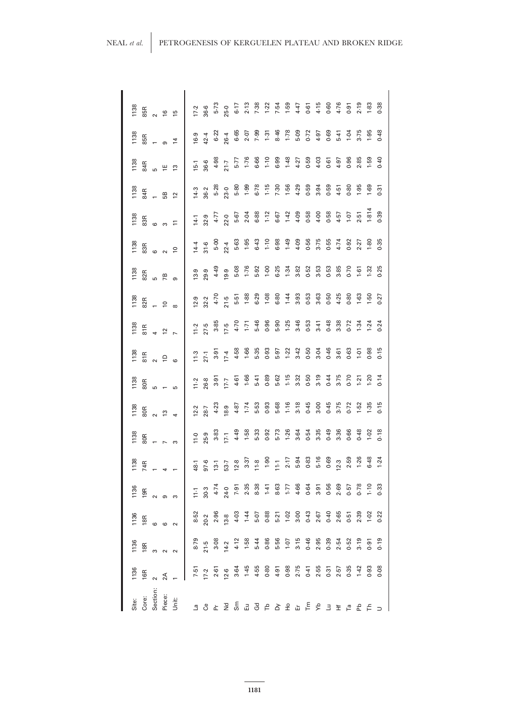| $16.9$<br>$42.4$<br>85R<br>$ \circ$<br>$\overline{4}$<br>1138<br>5 5 5 년<br>5 7<br>$15-7$<br>്റ്<br>5-28<br>23-0<br>$-31$<br>$1138$<br>$545$<br>$-845$<br>36.2<br>14.3<br>$\tilde{c}$<br>$\frac{138}{28}$<br>32.9<br>$14 - 1$<br>$rac{1}{2}$ m $rac{1}{2}$<br>$\begin{array}{c} 138 \\ 236 \\ 256 \\ 266 \\ 276 \\ 286 \\ 11 \end{array}$<br>4.49<br>$\frac{138}{25}$ 5 5 6 9 9 1138<br>29.9<br>13.9<br>2<br>2 3 4 5 6 7 8 9 8 9 8 4 6 6 6 7 8 9 9 9 9 0 1<br>1138<br>82R<br>12.9<br>$-9$<br>3.85<br>17.5<br>$11.5$<br>27.5<br>$\frac{1738}{8}$ 4 2 7<br>$71.3$<br>$27.1$<br>$3.91$<br>$1.458$<br>$4.58$<br>$\begin{array}{c} 138 \\ 8 \pi \\ 2 \end{array}$<br>$\frac{1738}{80R}$<br>26.8<br>11.2<br>$\overline{a}$<br>4 8 9 4 5 6 9 6 5 6 7 8 9 9 9 9 9 0 1 2 8 9 9 0 1 2 9 9 0 1 2 9 9 9 0 1 2 9 9 0 1 2 9 9 9 0 1 2 9 9 0 1 2 9 9<br>28.7<br>12.2<br>$\begin{array}{c} 60 \text{R} \\ 2 \text{R} \\ 1 \text{S} \\ 4 \end{array}$<br>$\frac{1138}{80R}$<br>1.24<br>$\frac{1138}{74}$<br>section:<br><sup>ljece:</sup><br>Core: |  |  |  | 1138 |  |  |  |  | 1138 |                   |
|-----------------------------------------------------------------------------------------------------------------------------------------------------------------------------------------------------------------------------------------------------------------------------------------------------------------------------------------------------------------------------------------------------------------------------------------------------------------------------------------------------------------------------------------------------------------------------------------------------------------------------------------------------------------------------------------------------------------------------------------------------------------------------------------------------------------------------------------------------------------------------------------------------------------------------------------------------------------------------------------------------------------------------------|--|--|--|------|--|--|--|--|------|-------------------|
|                                                                                                                                                                                                                                                                                                                                                                                                                                                                                                                                                                                                                                                                                                                                                                                                                                                                                                                                                                                                                                   |  |  |  |      |  |  |  |  |      | $\frac{138}{855}$ |
|                                                                                                                                                                                                                                                                                                                                                                                                                                                                                                                                                                                                                                                                                                                                                                                                                                                                                                                                                                                                                                   |  |  |  |      |  |  |  |  |      | $\frac{1}{2}$     |
|                                                                                                                                                                                                                                                                                                                                                                                                                                                                                                                                                                                                                                                                                                                                                                                                                                                                                                                                                                                                                                   |  |  |  |      |  |  |  |  |      |                   |
|                                                                                                                                                                                                                                                                                                                                                                                                                                                                                                                                                                                                                                                                                                                                                                                                                                                                                                                                                                                                                                   |  |  |  |      |  |  |  |  |      | ما<br>-           |
|                                                                                                                                                                                                                                                                                                                                                                                                                                                                                                                                                                                                                                                                                                                                                                                                                                                                                                                                                                                                                                   |  |  |  |      |  |  |  |  |      |                   |
|                                                                                                                                                                                                                                                                                                                                                                                                                                                                                                                                                                                                                                                                                                                                                                                                                                                                                                                                                                                                                                   |  |  |  |      |  |  |  |  |      | $17.2$<br>36.6    |
|                                                                                                                                                                                                                                                                                                                                                                                                                                                                                                                                                                                                                                                                                                                                                                                                                                                                                                                                                                                                                                   |  |  |  |      |  |  |  |  |      |                   |
|                                                                                                                                                                                                                                                                                                                                                                                                                                                                                                                                                                                                                                                                                                                                                                                                                                                                                                                                                                                                                                   |  |  |  |      |  |  |  |  |      |                   |
|                                                                                                                                                                                                                                                                                                                                                                                                                                                                                                                                                                                                                                                                                                                                                                                                                                                                                                                                                                                                                                   |  |  |  |      |  |  |  |  |      |                   |
|                                                                                                                                                                                                                                                                                                                                                                                                                                                                                                                                                                                                                                                                                                                                                                                                                                                                                                                                                                                                                                   |  |  |  |      |  |  |  |  |      |                   |
|                                                                                                                                                                                                                                                                                                                                                                                                                                                                                                                                                                                                                                                                                                                                                                                                                                                                                                                                                                                                                                   |  |  |  |      |  |  |  |  |      |                   |
|                                                                                                                                                                                                                                                                                                                                                                                                                                                                                                                                                                                                                                                                                                                                                                                                                                                                                                                                                                                                                                   |  |  |  |      |  |  |  |  |      |                   |
|                                                                                                                                                                                                                                                                                                                                                                                                                                                                                                                                                                                                                                                                                                                                                                                                                                                                                                                                                                                                                                   |  |  |  |      |  |  |  |  |      |                   |
|                                                                                                                                                                                                                                                                                                                                                                                                                                                                                                                                                                                                                                                                                                                                                                                                                                                                                                                                                                                                                                   |  |  |  |      |  |  |  |  |      |                   |
|                                                                                                                                                                                                                                                                                                                                                                                                                                                                                                                                                                                                                                                                                                                                                                                                                                                                                                                                                                                                                                   |  |  |  |      |  |  |  |  |      |                   |
|                                                                                                                                                                                                                                                                                                                                                                                                                                                                                                                                                                                                                                                                                                                                                                                                                                                                                                                                                                                                                                   |  |  |  |      |  |  |  |  |      |                   |
|                                                                                                                                                                                                                                                                                                                                                                                                                                                                                                                                                                                                                                                                                                                                                                                                                                                                                                                                                                                                                                   |  |  |  |      |  |  |  |  |      |                   |
|                                                                                                                                                                                                                                                                                                                                                                                                                                                                                                                                                                                                                                                                                                                                                                                                                                                                                                                                                                                                                                   |  |  |  |      |  |  |  |  |      |                   |
|                                                                                                                                                                                                                                                                                                                                                                                                                                                                                                                                                                                                                                                                                                                                                                                                                                                                                                                                                                                                                                   |  |  |  |      |  |  |  |  |      |                   |
|                                                                                                                                                                                                                                                                                                                                                                                                                                                                                                                                                                                                                                                                                                                                                                                                                                                                                                                                                                                                                                   |  |  |  |      |  |  |  |  |      |                   |
|                                                                                                                                                                                                                                                                                                                                                                                                                                                                                                                                                                                                                                                                                                                                                                                                                                                                                                                                                                                                                                   |  |  |  |      |  |  |  |  |      |                   |
|                                                                                                                                                                                                                                                                                                                                                                                                                                                                                                                                                                                                                                                                                                                                                                                                                                                                                                                                                                                                                                   |  |  |  |      |  |  |  |  |      |                   |
|                                                                                                                                                                                                                                                                                                                                                                                                                                                                                                                                                                                                                                                                                                                                                                                                                                                                                                                                                                                                                                   |  |  |  |      |  |  |  |  |      |                   |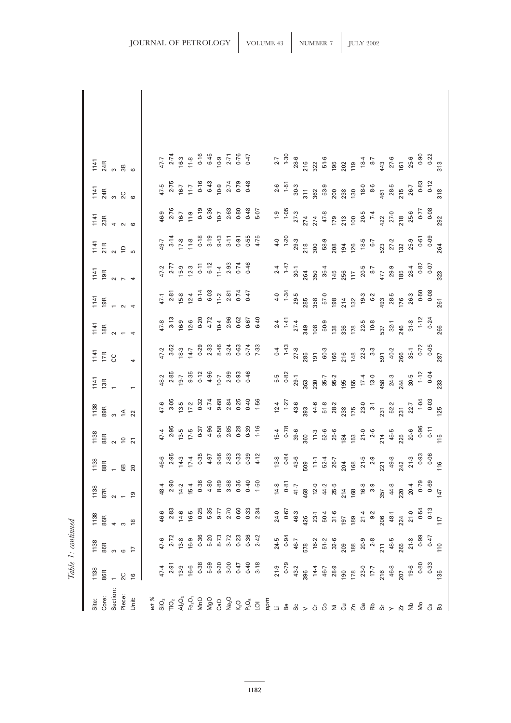|                                                                                                                                                            |                                                                                                         | 1138<br>86R |                                                                         |                                                |                                               | $\begin{array}{r} 138 \\ 88 \\ 2 \end{array}$                                                                                                                                                                                                                                             | $\frac{138}{895}$ $\frac{8}{22}$ |                      |                                                              |                                                           |                                                                                                                                                                                                                                                                                                               |                                         |                                       |                                                                       |                                         |                                                                                                                                                                                                                                                                                                                                                                                                                                                                                 |  |
|------------------------------------------------------------------------------------------------------------------------------------------------------------|---------------------------------------------------------------------------------------------------------|-------------|-------------------------------------------------------------------------|------------------------------------------------|-----------------------------------------------|-------------------------------------------------------------------------------------------------------------------------------------------------------------------------------------------------------------------------------------------------------------------------------------------|----------------------------------|----------------------|--------------------------------------------------------------|-----------------------------------------------------------|---------------------------------------------------------------------------------------------------------------------------------------------------------------------------------------------------------------------------------------------------------------------------------------------------------------|-----------------------------------------|---------------------------------------|-----------------------------------------------------------------------|-----------------------------------------|---------------------------------------------------------------------------------------------------------------------------------------------------------------------------------------------------------------------------------------------------------------------------------------------------------------------------------------------------------------------------------------------------------------------------------------------------------------------------------|--|
|                                                                                                                                                            | 1138<br>36R                                                                                             |             | $\begin{array}{c}\n 138 \\  \hline\n 868 \\  \hline\n 48\n \end{array}$ | $\begin{array}{c} 138 \\ 87R \\ 2 \end{array}$ | $\begin{array}{c} 138 \\ 88 \\ 1 \end{array}$ |                                                                                                                                                                                                                                                                                           |                                  | $141$<br>$15$<br>$1$ | $\begin{array}{c} 1141 \\ 178 \end{array}$                   |                                                           |                                                                                                                                                                                                                                                                                                               |                                         |                                       |                                                                       |                                         |                                                                                                                                                                                                                                                                                                                                                                                                                                                                                 |  |
|                                                                                                                                                            |                                                                                                         |             |                                                                         |                                                |                                               |                                                                                                                                                                                                                                                                                           |                                  |                      |                                                              |                                                           |                                                                                                                                                                                                                                                                                                               |                                         |                                       |                                                                       |                                         |                                                                                                                                                                                                                                                                                                                                                                                                                                                                                 |  |
| Site:<br>Core:<br>Section:<br>Piece:<br>Unit:                                                                                                              | $\approx$                                                                                               |             |                                                                         |                                                | <b>B</b> 20                                   |                                                                                                                                                                                                                                                                                           |                                  |                      |                                                              | $747$<br>$78$<br>$78$<br>$74$                             | $747$<br>$795$<br>$- 04$                                                                                                                                                                                                                                                                                      | $\frac{141}{195}$<br>$\alpha$ $\beta$ 4 | $741$<br>$25$<br>$25$<br>$25$<br>$55$ | $73R$<br>$73R$<br>$75R$                                               | $1141$<br>$24R$<br>$24R$<br>$2C$<br>$6$ | $747$<br>$745$ $36$<br>$6$                                                                                                                                                                                                                                                                                                                                                                                                                                                      |  |
|                                                                                                                                                            |                                                                                                         |             |                                                                         |                                                |                                               |                                                                                                                                                                                                                                                                                           |                                  |                      |                                                              |                                                           |                                                                                                                                                                                                                                                                                                               |                                         |                                       |                                                                       |                                         |                                                                                                                                                                                                                                                                                                                                                                                                                                                                                 |  |
|                                                                                                                                                            |                                                                                                         |             |                                                                         |                                                |                                               |                                                                                                                                                                                                                                                                                           |                                  |                      |                                                              |                                                           |                                                                                                                                                                                                                                                                                                               |                                         |                                       |                                                                       |                                         |                                                                                                                                                                                                                                                                                                                                                                                                                                                                                 |  |
| <i>。</i><br>ε S C C C C C C C C C C C C L E _ B S > C C Ξ C L G E S > λ Η Ξ ξ C B<br>ε S C C C C C C C C C C C C L E _ B S > C C Ξ C L G E S > λ Η Ξ ξ C B |                                                                                                         |             |                                                                         |                                                |                                               |                                                                                                                                                                                                                                                                                           |                                  |                      |                                                              |                                                           |                                                                                                                                                                                                                                                                                                               |                                         |                                       |                                                                       |                                         |                                                                                                                                                                                                                                                                                                                                                                                                                                                                                 |  |
|                                                                                                                                                            | 4 かいちょうしょう いっぱ おおおおお いっぱん あいはん はんじょう あいかん あいかん かいこう こうけい あいのは あい あいかん あい あいのは あい あい あい あい あい かいかん あい おい |             |                                                                         |                                                |                                               | $\vec{r}$<br>$\vec{r}$ $\vec{a}$ $\vec{c}$ $\vec{c}$ $\vec{c}$ $\vec{c}$ $\vec{c}$ $\vec{c}$ $\vec{c}$ $\vec{c}$ $\vec{c}$ $\vec{c}$ $\vec{c}$ $\vec{c}$ $\vec{c}$ $\vec{c}$ $\vec{c}$ $\vec{c}$ $\vec{c}$ $\vec{c}$ $\vec{c}$ $\vec{c}$ $\vec{c}$ $\vec{c}$ $\vec{c}$ $\vec{c}$ $\vec{c$ |                                  |                      | 2 3 3 4 5 6 7 8 9 7 8 9 7 8 9 7<br>7 9 9 7 9 9 9 9 9 0 7 9 9 | 4<br>8 7 9 9 9 9 7 4 9 9 9 9 9<br>8 7 9 9 0 1 4 9 9 9 0 9 | 47.1<br>$\begin{array}{c} 47.1 \\ 2.81 \\ 0.84 \\ 0.44 \\ 0.03 \\ 0.04 \\ 0.03 \\ 0.04 \\ 0.03 \\ 0.04 \\ 0.04 \\ 0.04 \\ 0.04 \\ 0.04 \\ 0.04 \\ 0.04 \\ 0.04 \\ 0.04 \\ 0.04 \\ 0.04 \\ 0.04 \\ 0.04 \\ 0.04 \\ 0.04 \\ 0.04 \\ 0.04 \\ 0.04 \\ 0.04 \\ 0.04 \\ 0.04 \\ 0.04 \\ 0.04 \\ 0.04 \\ 0.04 \\ 0.$ |                                         |                                       | 4<br>4 2 3 4 5 6 7 8 9 8 9 9 9 9 9 9 0<br>4 9 9 9 9 9 9 9 9 9 9 9 9 9 |                                         |                                                                                                                                                                                                                                                                                                                                                                                                                                                                                 |  |
|                                                                                                                                                            |                                                                                                         |             |                                                                         |                                                |                                               |                                                                                                                                                                                                                                                                                           |                                  |                      |                                                              |                                                           |                                                                                                                                                                                                                                                                                                               |                                         |                                       |                                                                       |                                         |                                                                                                                                                                                                                                                                                                                                                                                                                                                                                 |  |
|                                                                                                                                                            |                                                                                                         |             |                                                                         |                                                |                                               |                                                                                                                                                                                                                                                                                           |                                  |                      |                                                              |                                                           |                                                                                                                                                                                                                                                                                                               |                                         |                                       |                                                                       |                                         |                                                                                                                                                                                                                                                                                                                                                                                                                                                                                 |  |
|                                                                                                                                                            |                                                                                                         |             |                                                                         |                                                |                                               |                                                                                                                                                                                                                                                                                           |                                  |                      |                                                              |                                                           |                                                                                                                                                                                                                                                                                                               |                                         |                                       |                                                                       |                                         |                                                                                                                                                                                                                                                                                                                                                                                                                                                                                 |  |
|                                                                                                                                                            |                                                                                                         |             |                                                                         |                                                |                                               |                                                                                                                                                                                                                                                                                           |                                  |                      |                                                              |                                                           |                                                                                                                                                                                                                                                                                                               |                                         |                                       |                                                                       |                                         |                                                                                                                                                                                                                                                                                                                                                                                                                                                                                 |  |
|                                                                                                                                                            |                                                                                                         |             |                                                                         |                                                |                                               |                                                                                                                                                                                                                                                                                           |                                  |                      |                                                              |                                                           |                                                                                                                                                                                                                                                                                                               |                                         |                                       |                                                                       |                                         |                                                                                                                                                                                                                                                                                                                                                                                                                                                                                 |  |
|                                                                                                                                                            |                                                                                                         |             |                                                                         |                                                |                                               |                                                                                                                                                                                                                                                                                           |                                  |                      |                                                              |                                                           |                                                                                                                                                                                                                                                                                                               |                                         |                                       |                                                                       |                                         |                                                                                                                                                                                                                                                                                                                                                                                                                                                                                 |  |
|                                                                                                                                                            |                                                                                                         |             |                                                                         |                                                |                                               |                                                                                                                                                                                                                                                                                           |                                  |                      |                                                              |                                                           |                                                                                                                                                                                                                                                                                                               |                                         |                                       |                                                                       |                                         |                                                                                                                                                                                                                                                                                                                                                                                                                                                                                 |  |
|                                                                                                                                                            |                                                                                                         |             |                                                                         |                                                |                                               |                                                                                                                                                                                                                                                                                           |                                  |                      |                                                              |                                                           |                                                                                                                                                                                                                                                                                                               |                                         |                                       |                                                                       |                                         |                                                                                                                                                                                                                                                                                                                                                                                                                                                                                 |  |
|                                                                                                                                                            |                                                                                                         |             |                                                                         |                                                |                                               |                                                                                                                                                                                                                                                                                           |                                  |                      |                                                              |                                                           |                                                                                                                                                                                                                                                                                                               |                                         |                                       |                                                                       |                                         |                                                                                                                                                                                                                                                                                                                                                                                                                                                                                 |  |
|                                                                                                                                                            |                                                                                                         |             |                                                                         |                                                |                                               |                                                                                                                                                                                                                                                                                           |                                  |                      |                                                              |                                                           |                                                                                                                                                                                                                                                                                                               |                                         |                                       |                                                                       |                                         |                                                                                                                                                                                                                                                                                                                                                                                                                                                                                 |  |
|                                                                                                                                                            |                                                                                                         |             |                                                                         |                                                |                                               |                                                                                                                                                                                                                                                                                           |                                  |                      |                                                              |                                                           |                                                                                                                                                                                                                                                                                                               |                                         |                                       |                                                                       |                                         |                                                                                                                                                                                                                                                                                                                                                                                                                                                                                 |  |
|                                                                                                                                                            |                                                                                                         |             |                                                                         |                                                |                                               |                                                                                                                                                                                                                                                                                           |                                  |                      |                                                              |                                                           |                                                                                                                                                                                                                                                                                                               |                                         |                                       |                                                                       |                                         |                                                                                                                                                                                                                                                                                                                                                                                                                                                                                 |  |
|                                                                                                                                                            |                                                                                                         |             |                                                                         |                                                |                                               |                                                                                                                                                                                                                                                                                           |                                  |                      |                                                              |                                                           |                                                                                                                                                                                                                                                                                                               |                                         |                                       |                                                                       |                                         |                                                                                                                                                                                                                                                                                                                                                                                                                                                                                 |  |
|                                                                                                                                                            |                                                                                                         |             |                                                                         |                                                |                                               |                                                                                                                                                                                                                                                                                           |                                  |                      |                                                              |                                                           |                                                                                                                                                                                                                                                                                                               |                                         |                                       |                                                                       |                                         |                                                                                                                                                                                                                                                                                                                                                                                                                                                                                 |  |
|                                                                                                                                                            |                                                                                                         |             |                                                                         |                                                |                                               |                                                                                                                                                                                                                                                                                           |                                  |                      |                                                              |                                                           |                                                                                                                                                                                                                                                                                                               |                                         |                                       |                                                                       |                                         |                                                                                                                                                                                                                                                                                                                                                                                                                                                                                 |  |
|                                                                                                                                                            |                                                                                                         |             |                                                                         |                                                |                                               |                                                                                                                                                                                                                                                                                           |                                  |                      |                                                              |                                                           |                                                                                                                                                                                                                                                                                                               |                                         |                                       |                                                                       |                                         |                                                                                                                                                                                                                                                                                                                                                                                                                                                                                 |  |
|                                                                                                                                                            |                                                                                                         |             |                                                                         |                                                |                                               |                                                                                                                                                                                                                                                                                           |                                  |                      |                                                              |                                                           |                                                                                                                                                                                                                                                                                                               |                                         |                                       |                                                                       |                                         |                                                                                                                                                                                                                                                                                                                                                                                                                                                                                 |  |
|                                                                                                                                                            |                                                                                                         |             |                                                                         |                                                |                                               |                                                                                                                                                                                                                                                                                           |                                  |                      |                                                              |                                                           |                                                                                                                                                                                                                                                                                                               |                                         |                                       |                                                                       |                                         |                                                                                                                                                                                                                                                                                                                                                                                                                                                                                 |  |
|                                                                                                                                                            |                                                                                                         |             |                                                                         |                                                |                                               |                                                                                                                                                                                                                                                                                           |                                  |                      |                                                              |                                                           |                                                                                                                                                                                                                                                                                                               |                                         |                                       |                                                                       |                                         |                                                                                                                                                                                                                                                                                                                                                                                                                                                                                 |  |
|                                                                                                                                                            |                                                                                                         |             |                                                                         |                                                |                                               |                                                                                                                                                                                                                                                                                           |                                  |                      |                                                              |                                                           |                                                                                                                                                                                                                                                                                                               |                                         |                                       |                                                                       |                                         |                                                                                                                                                                                                                                                                                                                                                                                                                                                                                 |  |
|                                                                                                                                                            |                                                                                                         |             |                                                                         |                                                |                                               |                                                                                                                                                                                                                                                                                           |                                  |                      |                                                              |                                                           |                                                                                                                                                                                                                                                                                                               |                                         |                                       |                                                                       |                                         |                                                                                                                                                                                                                                                                                                                                                                                                                                                                                 |  |
|                                                                                                                                                            |                                                                                                         |             |                                                                         |                                                |                                               |                                                                                                                                                                                                                                                                                           |                                  |                      |                                                              |                                                           |                                                                                                                                                                                                                                                                                                               |                                         |                                       |                                                                       |                                         |                                                                                                                                                                                                                                                                                                                                                                                                                                                                                 |  |
|                                                                                                                                                            |                                                                                                         |             |                                                                         |                                                |                                               |                                                                                                                                                                                                                                                                                           |                                  |                      |                                                              |                                                           |                                                                                                                                                                                                                                                                                                               |                                         |                                       |                                                                       |                                         |                                                                                                                                                                                                                                                                                                                                                                                                                                                                                 |  |
|                                                                                                                                                            |                                                                                                         |             |                                                                         |                                                |                                               |                                                                                                                                                                                                                                                                                           |                                  |                      |                                                              |                                                           |                                                                                                                                                                                                                                                                                                               |                                         |                                       |                                                                       |                                         |                                                                                                                                                                                                                                                                                                                                                                                                                                                                                 |  |
|                                                                                                                                                            |                                                                                                         |             |                                                                         |                                                |                                               |                                                                                                                                                                                                                                                                                           |                                  |                      |                                                              |                                                           |                                                                                                                                                                                                                                                                                                               |                                         |                                       |                                                                       |                                         |                                                                                                                                                                                                                                                                                                                                                                                                                                                                                 |  |
|                                                                                                                                                            |                                                                                                         |             |                                                                         |                                                |                                               |                                                                                                                                                                                                                                                                                           |                                  |                      |                                                              |                                                           |                                                                                                                                                                                                                                                                                                               |                                         |                                       |                                                                       |                                         |                                                                                                                                                                                                                                                                                                                                                                                                                                                                                 |  |
|                                                                                                                                                            |                                                                                                         |             |                                                                         |                                                |                                               |                                                                                                                                                                                                                                                                                           |                                  |                      |                                                              |                                                           |                                                                                                                                                                                                                                                                                                               |                                         |                                       |                                                                       |                                         |                                                                                                                                                                                                                                                                                                                                                                                                                                                                                 |  |
|                                                                                                                                                            |                                                                                                         |             |                                                                         |                                                |                                               |                                                                                                                                                                                                                                                                                           |                                  |                      |                                                              |                                                           |                                                                                                                                                                                                                                                                                                               |                                         |                                       |                                                                       |                                         | $\begin{array}{cccccccccc} . & . & . & . & . & . & . & . \\ . & . & . & . & . & . & . & . \\ . & . & . & . & . & . & . & . \\ . & . & . & . & . & . & . & . \\ . & . & . & . & . & . & . & . \\ . & . & . & . & . & . & . & . \\ . & . & . & . & . & . & . & . \\ . & . & . & . & . & . & . \\ . & . & . & . & . & . & . \\ . & . & . & . & . & . & . \\ . & . & . & . & . & . & . \\ . & . & . & . & . & . & . \\ . & . & . & . & . & . & . \\ . & . & . & . & . & . & . \\ .$ |  |

Table 1: continued *Table 1: continued*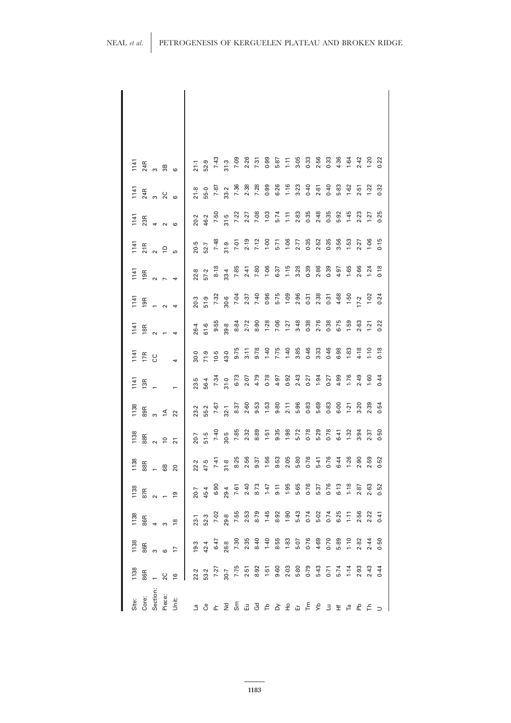|       | $747$<br>$748$<br>$86$                            |          |                 |                                   |                                                                                        |  |  |  |  |  |  |           |  |      |
|-------|---------------------------------------------------|----------|-----------------|-----------------------------------|----------------------------------------------------------------------------------------|--|--|--|--|--|--|-----------|--|------|
|       | $747$<br>$748$<br>$76$<br>$86$                    |          |                 |                                   |                                                                                        |  |  |  |  |  |  |           |  |      |
|       | $\frac{141}{28}$<br>23R<br>2                      |          |                 |                                   |                                                                                        |  |  |  |  |  |  |           |  |      |
|       | $741$<br>$25$<br>$25$<br>$25$<br>$5$              |          |                 |                                   |                                                                                        |  |  |  |  |  |  |           |  |      |
|       | $\frac{1141}{2}$                                  |          |                 |                                   |                                                                                        |  |  |  |  |  |  |           |  |      |
|       | $\frac{141}{198}$                                 |          |                 |                                   |                                                                                        |  |  |  |  |  |  |           |  | 0.24 |
|       | $\begin{array}{c}\n1141 \\ 185 \\ 2\n\end{array}$ |          |                 |                                   |                                                                                        |  |  |  |  |  |  |           |  |      |
|       | 141<br>141<br>141                                 |          |                 |                                   |                                                                                        |  |  |  |  |  |  |           |  |      |
|       | $\frac{141}{15}$                                  |          |                 |                                   |                                                                                        |  |  |  |  |  |  |           |  | 0.44 |
|       | $\begin{array}{c} 1138 \\ 598 \\ 21 \end{array}$  |          |                 |                                   |                                                                                        |  |  |  |  |  |  |           |  |      |
|       | $\begin{array}{r} 138 \\ 58 \\ 2 \end{array}$     |          |                 |                                   |                                                                                        |  |  |  |  |  |  |           |  |      |
|       | 1138<br>88R                                       |          |                 |                                   |                                                                                        |  |  |  |  |  |  |           |  | 0.52 |
|       |                                                   |          |                 | $\frac{138}{878}$<br>$\alpha$ - 9 |                                                                                        |  |  |  |  |  |  |           |  |      |
|       |                                                   |          |                 |                                   |                                                                                        |  |  |  |  |  |  |           |  |      |
|       |                                                   |          |                 |                                   | 8 4 5 8 9 5 9 5 9 5 6 6 6 6 6 7 8 9 9 9 1<br>9 4 5 8 9 9 9 9 9 9 8 9 8 9 8 9 8 9 9 9 1 |  |  |  |  |  |  |           |  | 0.50 |
|       | 1138<br>86R                                       |          |                 |                                   |                                                                                        |  |  |  |  |  |  |           |  |      |
| Site: | Core:                                             | Section: | Piece:<br>Unit: |                                   |                                                                                        |  |  |  |  |  |  | 5 三 壬 巳 久 |  |      |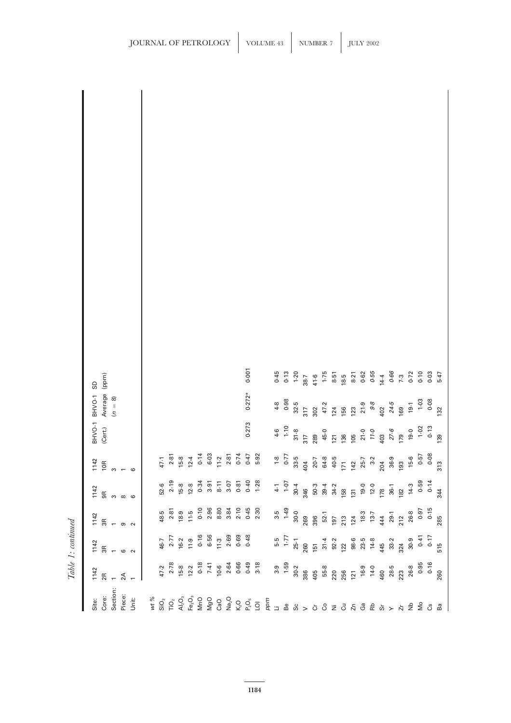|                             |      | $Table~1: {\it continued}$ |                                                                           |                         |                                                                                                                                                                                                                                                                                                                                                                                                                                                                                                                                                        |         |                                   |                                                                                                                                                                                                                                                                                                       |  |
|-----------------------------|------|----------------------------|---------------------------------------------------------------------------|-------------------------|--------------------------------------------------------------------------------------------------------------------------------------------------------------------------------------------------------------------------------------------------------------------------------------------------------------------------------------------------------------------------------------------------------------------------------------------------------------------------------------------------------------------------------------------------------|---------|-----------------------------------|-------------------------------------------------------------------------------------------------------------------------------------------------------------------------------------------------------------------------------------------------------------------------------------------------------|--|
| Core:<br>Site:              | 1142 | 1142<br>$\frac{8}{3}$      | 1142                                                                      | 1142<br>$\frac{\pi}{2}$ | $1142$<br>10R                                                                                                                                                                                                                                                                                                                                                                                                                                                                                                                                          | (Cert.) | Average (ppm)<br>BHVO-1 BHVO-1 SD |                                                                                                                                                                                                                                                                                                       |  |
|                             |      |                            |                                                                           | ო                       |                                                                                                                                                                                                                                                                                                                                                                                                                                                                                                                                                        |         | $(n = 8)$                         |                                                                                                                                                                                                                                                                                                       |  |
| Section:<br>Piece:<br>Unit: |      |                            |                                                                           | $\infty$                |                                                                                                                                                                                                                                                                                                                                                                                                                                                                                                                                                        |         |                                   |                                                                                                                                                                                                                                                                                                       |  |
|                             |      |                            |                                                                           |                         |                                                                                                                                                                                                                                                                                                                                                                                                                                                                                                                                                        |         |                                   |                                                                                                                                                                                                                                                                                                       |  |
|                             |      |                            |                                                                           |                         |                                                                                                                                                                                                                                                                                                                                                                                                                                                                                                                                                        |         |                                   |                                                                                                                                                                                                                                                                                                       |  |
|                             |      |                            |                                                                           |                         |                                                                                                                                                                                                                                                                                                                                                                                                                                                                                                                                                        |         |                                   |                                                                                                                                                                                                                                                                                                       |  |
|                             |      |                            | 8 5 6 7 8 9 8 8 7 8 9<br>8 7 8 9 9 8 9 8 7 8 9 9<br>8 9 9 9 9 9 9 9 9 9 9 |                         | $\begin{array}{cccccccccc} \mathcal{L}\cdot\cdot\cdot & \mathcal{L}\cdot\cdot & \mathcal{L}\cdot\cdot & \mathcal{L}\cdot\cdot & \mathcal{L}\cdot\cdot & \mathcal{L}\cdot\cdot & \mathcal{L}\cdot\cdot & \mathcal{L}\cdot\cdot & \mathcal{L}\cdot\cdot & \mathcal{L}\cdot\cdot & \mathcal{L}\cdot\cdot & \mathcal{L}\cdot\cdot & \mathcal{L}\cdot\cdot & \mathcal{L}\cdot\cdot & \mathcal{L}\cdot\cdot & \mathcal{L}\cdot\cdot & \mathcal{L}\cdot\cdot & \mathcal{L}\cdot\cdot & \mathcal{L}\cdot\cdot & \mathcal{L}\cdot\cdot & \mathcal{L}\cdot\cdot$ |         |                                   |                                                                                                                                                                                                                                                                                                       |  |
|                             |      |                            |                                                                           |                         |                                                                                                                                                                                                                                                                                                                                                                                                                                                                                                                                                        |         |                                   |                                                                                                                                                                                                                                                                                                       |  |
|                             |      |                            |                                                                           |                         |                                                                                                                                                                                                                                                                                                                                                                                                                                                                                                                                                        |         |                                   |                                                                                                                                                                                                                                                                                                       |  |
|                             |      |                            |                                                                           |                         |                                                                                                                                                                                                                                                                                                                                                                                                                                                                                                                                                        |         |                                   |                                                                                                                                                                                                                                                                                                       |  |
|                             |      |                            |                                                                           |                         |                                                                                                                                                                                                                                                                                                                                                                                                                                                                                                                                                        |         |                                   |                                                                                                                                                                                                                                                                                                       |  |
|                             |      |                            |                                                                           |                         |                                                                                                                                                                                                                                                                                                                                                                                                                                                                                                                                                        |         |                                   |                                                                                                                                                                                                                                                                                                       |  |
|                             |      |                            |                                                                           |                         |                                                                                                                                                                                                                                                                                                                                                                                                                                                                                                                                                        |         |                                   |                                                                                                                                                                                                                                                                                                       |  |
|                             |      |                            |                                                                           |                         |                                                                                                                                                                                                                                                                                                                                                                                                                                                                                                                                                        |         |                                   |                                                                                                                                                                                                                                                                                                       |  |
|                             |      |                            |                                                                           |                         |                                                                                                                                                                                                                                                                                                                                                                                                                                                                                                                                                        | 0.273   | $0.272*$                          | 0.001                                                                                                                                                                                                                                                                                                 |  |
|                             |      |                            |                                                                           |                         |                                                                                                                                                                                                                                                                                                                                                                                                                                                                                                                                                        |         |                                   |                                                                                                                                                                                                                                                                                                       |  |
|                             |      |                            |                                                                           |                         |                                                                                                                                                                                                                                                                                                                                                                                                                                                                                                                                                        |         |                                   |                                                                                                                                                                                                                                                                                                       |  |
|                             |      |                            |                                                                           |                         |                                                                                                                                                                                                                                                                                                                                                                                                                                                                                                                                                        |         |                                   |                                                                                                                                                                                                                                                                                                       |  |
|                             |      |                            |                                                                           |                         |                                                                                                                                                                                                                                                                                                                                                                                                                                                                                                                                                        |         |                                   |                                                                                                                                                                                                                                                                                                       |  |
|                             |      |                            |                                                                           |                         |                                                                                                                                                                                                                                                                                                                                                                                                                                                                                                                                                        |         |                                   |                                                                                                                                                                                                                                                                                                       |  |
|                             |      |                            |                                                                           |                         |                                                                                                                                                                                                                                                                                                                                                                                                                                                                                                                                                        |         |                                   | $\begin{array}{cccccccccccccc} 45 & 22 & 22 & 24 & 25 & 26 & 27 & 28 & 27 & 28 & 27 & 28 & 27 & 28 & 27 & 28 & 27 & 28 & 27 & 28 & 27 & 28 & 27 & 28 & 27 & 28 & 27 & 28 & 27 & 28 & 27 & 28 & 27 & 28 & 27 & 28 & 27 & 28 & 27 & 28 & 27 & 28 & 27 & 28 & 27 & 28 & 27 & 28 & 27 & 28 & 27 & 28 & 2$ |  |
|                             |      |                            |                                                                           |                         |                                                                                                                                                                                                                                                                                                                                                                                                                                                                                                                                                        |         |                                   |                                                                                                                                                                                                                                                                                                       |  |
|                             |      |                            |                                                                           |                         |                                                                                                                                                                                                                                                                                                                                                                                                                                                                                                                                                        |         |                                   |                                                                                                                                                                                                                                                                                                       |  |
|                             |      |                            |                                                                           |                         |                                                                                                                                                                                                                                                                                                                                                                                                                                                                                                                                                        |         |                                   |                                                                                                                                                                                                                                                                                                       |  |
|                             |      |                            |                                                                           |                         |                                                                                                                                                                                                                                                                                                                                                                                                                                                                                                                                                        |         |                                   |                                                                                                                                                                                                                                                                                                       |  |
|                             |      |                            |                                                                           |                         |                                                                                                                                                                                                                                                                                                                                                                                                                                                                                                                                                        |         |                                   |                                                                                                                                                                                                                                                                                                       |  |
|                             |      |                            |                                                                           |                         |                                                                                                                                                                                                                                                                                                                                                                                                                                                                                                                                                        |         |                                   |                                                                                                                                                                                                                                                                                                       |  |
|                             |      |                            |                                                                           |                         |                                                                                                                                                                                                                                                                                                                                                                                                                                                                                                                                                        |         |                                   |                                                                                                                                                                                                                                                                                                       |  |
|                             |      |                            |                                                                           |                         |                                                                                                                                                                                                                                                                                                                                                                                                                                                                                                                                                        |         |                                   |                                                                                                                                                                                                                                                                                                       |  |
|                             |      |                            |                                                                           |                         |                                                                                                                                                                                                                                                                                                                                                                                                                                                                                                                                                        |         |                                   |                                                                                                                                                                                                                                                                                                       |  |
|                             |      |                            |                                                                           |                         |                                                                                                                                                                                                                                                                                                                                                                                                                                                                                                                                                        |         |                                   |                                                                                                                                                                                                                                                                                                       |  |
|                             |      |                            |                                                                           |                         |                                                                                                                                                                                                                                                                                                                                                                                                                                                                                                                                                        |         |                                   |                                                                                                                                                                                                                                                                                                       |  |
|                             |      |                            |                                                                           |                         |                                                                                                                                                                                                                                                                                                                                                                                                                                                                                                                                                        |         |                                   |                                                                                                                                                                                                                                                                                                       |  |
|                             |      |                            |                                                                           |                         |                                                                                                                                                                                                                                                                                                                                                                                                                                                                                                                                                        |         |                                   |                                                                                                                                                                                                                                                                                                       |  |
|                             |      |                            |                                                                           |                         |                                                                                                                                                                                                                                                                                                                                                                                                                                                                                                                                                        |         |                                   |                                                                                                                                                                                                                                                                                                       |  |

**1184**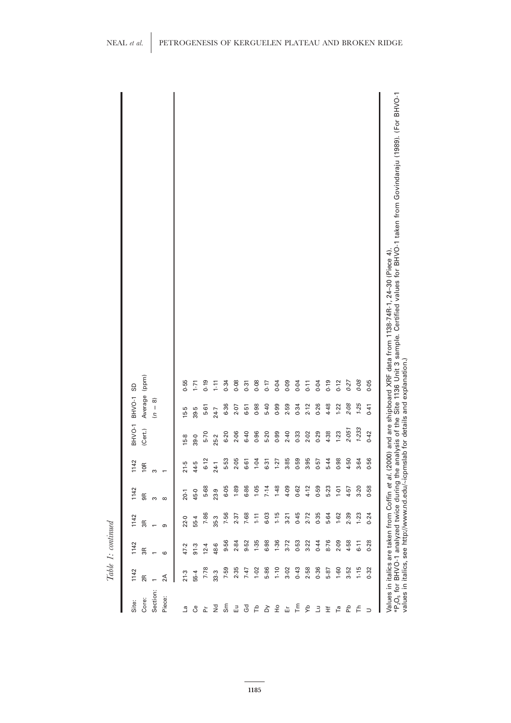|                     |          | Table 1: continued |                |                                                |          |          |               |                                                                                                                                                                                                                                                                                                                                               |
|---------------------|----------|--------------------|----------------|------------------------------------------------|----------|----------|---------------|-----------------------------------------------------------------------------------------------------------------------------------------------------------------------------------------------------------------------------------------------------------------------------------------------------------------------------------------------|
| Site:               | 1142     | 1142               | 1142           | 1142                                           | 1142     |          | BHVO-1 BHVO-1 | SD                                                                                                                                                                                                                                                                                                                                            |
| Core:               | 2R       | $\frac{1}{3}$      | $\frac{1}{36}$ | 9R                                             | 10R      | (Cert.)  | Average (ppm) |                                                                                                                                                                                                                                                                                                                                               |
| Section:            |          |                    |                | ო                                              |          |          | $(n = 8)$     |                                                                                                                                                                                                                                                                                                                                               |
| Piece:              | 2A       | $\circ$            | တ              | $\infty$                                       |          |          |               |                                                                                                                                                                                                                                                                                                                                               |
| $\mathbb{C}$        | 21.3     | 47.2               | 22.0           | $20-1$                                         | 21.5     | 15.8     | 15.5          | 0.55                                                                                                                                                                                                                                                                                                                                          |
| උ<br>උ              | 55.4     | 91.3               | 55.4           | 45-0                                           | 44.5     | 39.0     | 39.5          | $1 - 71$                                                                                                                                                                                                                                                                                                                                      |
| $\mathsf{h}$        | 7.78     | 12.4               | 7.86           | 5-68                                           | 6.12     | 5.70     | $5-61$        | 0.19                                                                                                                                                                                                                                                                                                                                          |
| $\overline{z}$      | 33.3     | 48.6               | 35-3           | 23.9                                           | 24.1     | 25.2     | 24.7          | $1-1$                                                                                                                                                                                                                                                                                                                                         |
| န္တ                 | 7.59     | 9.56               | 7.56           | 6.05                                           | 5.53     | $6 - 20$ | 6.36          | 0.34                                                                                                                                                                                                                                                                                                                                          |
| 品                   | 2.35     | 2.84               | 2.37           | 1.89                                           | 2.05     | 2.06     | 2.07          | 0.08                                                                                                                                                                                                                                                                                                                                          |
| Gd                  | $7 - 47$ | 9.52               | 7.68           | 6.86                                           | 6.61     | $6 - 40$ | 6.51          | 0.31                                                                                                                                                                                                                                                                                                                                          |
| ۹T                  | $1-02$   | 1.35               | $1-1$          | 1.05                                           | $1 - 04$ | 0.96     | 0.98          | 0.08                                                                                                                                                                                                                                                                                                                                          |
| $\delta$            | 5.86     | 6.98               | 6-03           | 7.14                                           | $6-31$   | 5.20     | $5 - 40$      | 0.17                                                                                                                                                                                                                                                                                                                                          |
| $\frac{9}{1}$       | $1-10$   | 1.36               | 1.15           | $1-48$                                         | 1.27     | 0.99     | 0.99          | $0 - 04$                                                                                                                                                                                                                                                                                                                                      |
| 山                   | $3-02$   | $3 - 72$           | 3.21           | 4.09                                           | 3.85     | 2.40     | 2.59          | 0.09                                                                                                                                                                                                                                                                                                                                          |
| 톱                   | $0 - 43$ | $0 - 53$           | 0.45           | $0 - 62$                                       | 0.59     | 0.33     | 0.34          | $0 - 04$                                                                                                                                                                                                                                                                                                                                      |
| ≿                   | 2.58     | $3 - 22$           | 2.72           | 4.12                                           | 3.95     | 2.02     | 2.12          | 0.11                                                                                                                                                                                                                                                                                                                                          |
| $\exists$           | 0.36     | $0 - 44$           | 0.35           | 0.59                                           | 0.57     | 0.29     | $0 - 26$      | 0.04                                                                                                                                                                                                                                                                                                                                          |
| 主                   | 5.87     | 8.76               | 5-64           | 5.23                                           | 5.44     | 4.38     | 4.48          | 0.19                                                                                                                                                                                                                                                                                                                                          |
| $\overline{\Gamma}$ | $1-60$   | 2.09               | $1-62$         | $1 - 01$                                       | 0.98     | $1 - 23$ | 1.22          | 0.12                                                                                                                                                                                                                                                                                                                                          |
| 운                   | 3.52     | 4.58               | 2.39           | 4.57                                           | 4.50     | 2.051    | 2.08          | 0.27                                                                                                                                                                                                                                                                                                                                          |
| 두                   | 1.15     | $6-11$             | 1.23           | $3-20$                                         | 3.64     | 1.233    | 1.25          | 0.08                                                                                                                                                                                                                                                                                                                                          |
| $\supset$           | 0.32     | 0.28               | 0.24           | 0.58                                           | 0.56     | 0.42     | 0.41          | 0.05                                                                                                                                                                                                                                                                                                                                          |
|                     |          |                    |                | Values in italics are taken from Coffin et al. |          |          |               | *P <sub>2</sub> O <sub>5</sub> for BHVO-1 analyzed twice during the analysis of the Site 1136 Unit 3 sample. Certified values for BHVO-1 taken from Govindaraju (1989). (For BHVO-1<br>(2000) and are shipboard XRF data from 1138-74R-1, 24-30 (Piece 4)<br>values in italics, see http://www.nd.edu/~icpmslab for details and explanation.) |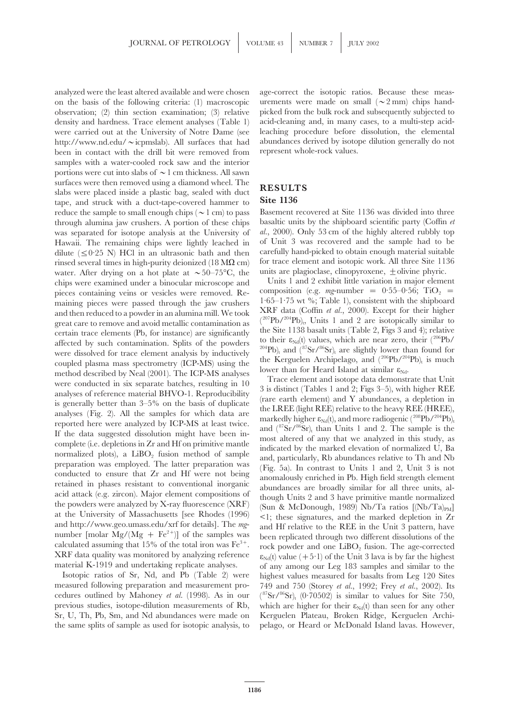on the basis of the following criteria: (1) macroscopic urements were made on small ( $\sim$ 2 mm) chips handobservation; (2) thin section examination; (3) relative picked from the bulk rock and subsequently subjected to density and hardness. Trace element analyses (Table 1) acid-cleaning and, in many cases, to a multi-step acidwere carried out at the University of Notre Dame (see leaching procedure before dissolution, the elemental http://www.nd.edu/~icpmslab). All surfaces that had abundances derived by isotope dilution generally do not been in contact with the drill bit were removed from represent whole-rock values. samples with a water-cooled rock saw and the interior portions were cut into slabs of  $\sim$  1 cm thickness. All sawn surfaces were then removed using a diamond wheel. The<br>slabs were placed inside a plastic bag, sealed with duct<br>tape and struck with a duct-tape-covered hammer to<br>**Site 1136** tape, and struck with a duct-tape-covered hammer to reduce the sample to small enough chips ( $\sim 1$  cm) to pass Basement recovered at Site 1136 was divided into three through alumina jaw crushers. A portion of these chips basaltic units by the shipboard scientific party (Coffin *et* was separated for isotope analysis at the University of Hawaii. The remaining chips were lightly leached in of Unit 3 was recovered and the sample had to be dilute  $(\leq 0.25 \text{ N})$  HCl in an ultrasonic bath and then carefully hand-picked to obtain enough material suitable rinsed several times in high-purity deionized (18 M $\Omega$  cm) for trace element and isotopic work. All three Site 1136 water After drying on a hot plate at  $\sim 50-75^{\circ}$ C the units are plagioclase, clinopyroxene,  $\pm$  oliv water. After drying on a hot plate at  $\sim 50-75^{\circ}$ C, the units are plagioclase, clinopyroxene,  $\pm$ olivine phyric.<br>
chins were examined under a binocular microscope and Units 1 and 2 exhibit little variation in major el chips were examined under a binocular microscope and Units 1 and 2 exhibit little variation in major element pieces containing veins or vesicles were removed  $Re$ - composition (e.g. *mg*-number = 0.55–0.56; TiO<sub>2</sub> = pieces containing veins or vesicles were removed. Re-<br>maining pieces were passed through the jaw crushers  $1.65-1.75$  wt %; Table 1), consistent with the shipboard maining pieces were passed through the jaw crushers  $1.65-1.75$  wt %; Table 1), consistent with the shipboard and then reduced to a powder in an alumina mill We took. XRF data (Coffin *et al.*, 2000). Except for their hig and then reduced to a powder in an alumina mill. We took XRF data (Coffin *et al.*, 2000). Except for their higher great care to remove and avoid metallic contamination as  $(207Bb/204B)$ , Units 1 and 2 are isotopically si certain trace elements (Pb, for instance) are significantly<br>affected by such contamination. Splits of the powders to their  $\varepsilon_{\text{Nd}}(t)$  values, which are near zero, their  $(206\text{Pb})$ anceted by such contamination. Spins of the powders  ${}^{204}Pb$ <sub>h</sub> and  $({}^{87}Sr/{}^{86}Sr)$ <sub>h</sub> are slightly lower than found for<br>coupled plasma mass spectrometry (ICP-MS) using the Kerguelen Archipelago, and  $({}^{206}Pb/{}^{204}$ method described by Neal (2001). The ICP-MS analyses<br>were conducted in six separate batches, resulting in 10<br>analyses of reference material BHVO-1. Reproducibility<br>is generally better than 3–5% on the basis of duplicate<br>a analysis ( $\text{rig. } 2$ ). And the samples in which das are the REE in the Unit 3 pattern, have number [molar Mg/(Mg + Fe<sup>2+1</sup>)] of the sample was been replicated through two different dissolutions of number [molar Mg/(Mg + F number [molar Mg/(Mg + Fe<sup>-1</sup>)] of the samples was been replicated through two different dissolutions of the calculated assuming that 15% of the total iron was  $Fe^{3+}$ . rock powder and one LiBO<sub>2</sub> fusion. The age-correcte XRF data quality was monitored by analyzing reference

measured following preparation and measurement pro- 749 and 750 (Storey *et al.*, 1992; Frey *et al.*, 2002). Its cedures outlined by Mahoney *et al.* (1998). As in our ( previous studies, isotope-dilution measurements of Rb, Sr, U, Th, Pb, Sm, and Nd abundances were made on the same splits of sample as used for isotopic analysis, to pelago, or Heard or McDonald Island lavas. However,

analyzed were the least altered available and were chosen age-correct the isotopic ratios. Because these meas-

 $\varepsilon_{Nd}(t)$  value  $(+5.1)$  of the Unit 3 lava is by far the highest material K-1919 and undertaking replicate analyses. of any among our Leg 183 samples and similar to the<br>Isotopic ratios of Sr, Nd, and Pb (Table 2) were highest values measured for basalts from Leg 120 Sites highest values measured for basalts from Leg 120 Sites  $({}^{87}\text{Sr}/{}^{86}\text{Sr})_{t}$  (0.70502) is similar to values for Site 750, which are higher for their  $\varepsilon_{Nd}(t)$  than seen for any other Kerguelen Plateau, Broken Ridge, Kerguelen Archi-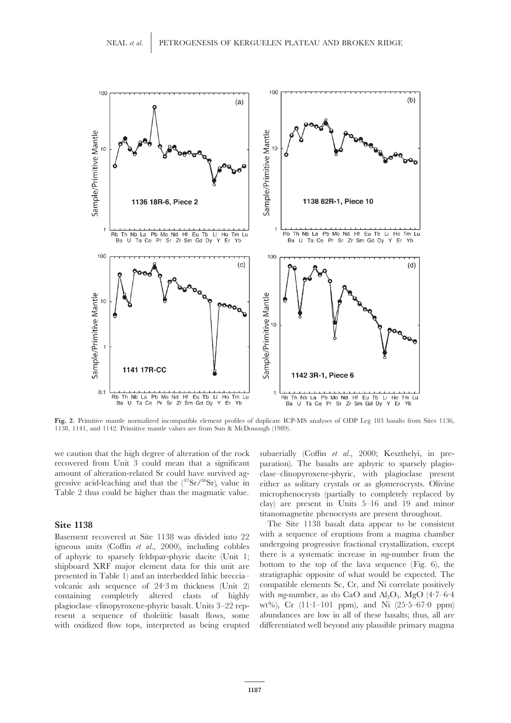

Fig. 2. Primitive mantle normalized incompatible element profiles of duplicate ICP-MS analyses of ODP Leg 183 basalts from Sites 1136, 1138, 1141, and 1142. Primitive mantle values are from Sun & McDonough (1989).

we caution that the high degree of alteration of the rock subaerially (Coffin *et al.*, 2000; Keszthelyi, in pre-

igneous units (Coffin *et al.*, 2000), including cobbles undergoing progressive fractional crystallization, except<br>of apparison to sparsely feldspar-phyric dacite (Upit 1. there is a systematic increase in mg-number from t of aphyric to sparsely feldspar-phyric dacite (Unit 1; shipboard XRF major element data for this unit are bottom to the top of the lava sequence (Fig. 6), the presented in Table 1) and an interbedded lithic breccia– stratigraphic opposite of what would be expected. The volcanic ash sequence of 24.3 m thickness (Unit 2) compatible elements Sc, Cr, and Ni correlate positively containing completely altered clasts of highly with mg-number, as do CaO and Al<sub>2</sub>O<sub>3</sub>. MgO (4.7–6.4) containing completely altered clasts of highly plagioclase–clinopyroxene-phyric basalt. Units 3–22 rep- wt%), Cr (11·1–101 ppm), and Ni (25·5–67·0 ppm) resent a sequence of tholeiitic basalt flows, some abundances are low in all of these basalts; thus, all are with oxidized flow tops, interpreted as being erupted differentiated well beyond any plausible primary magma

recovered from Unit 3 could mean that a significant paration). The basalts are aphyric to sparsely plagioamount of alteration-related Sr could have survived ag- clase–clinopyroxene-phyric, with plagioclase present gressive acid-leaching and that the  $({}^{87}Sr/{}^{86}Sr)$ <sub>t</sub> value in either as solitary crystals or as glomerocrysts. Olivine Table 2 thus could be higher than the magmatic value. microphenocrysts (partially to completely replaced by clay) are present in Units 5–16 and 19 and minor titanomagnetite phenocrysts are present throughout.

**Site 1138** The Site 1138 basalt data appear to be consistent Basement recovered at Site 1138 was divided into 22 with a sequence of eruptions from a magma chamber<br>igneous units (Coffin et al. 2000) including cobbles undergoing progressive fractional crystallization, except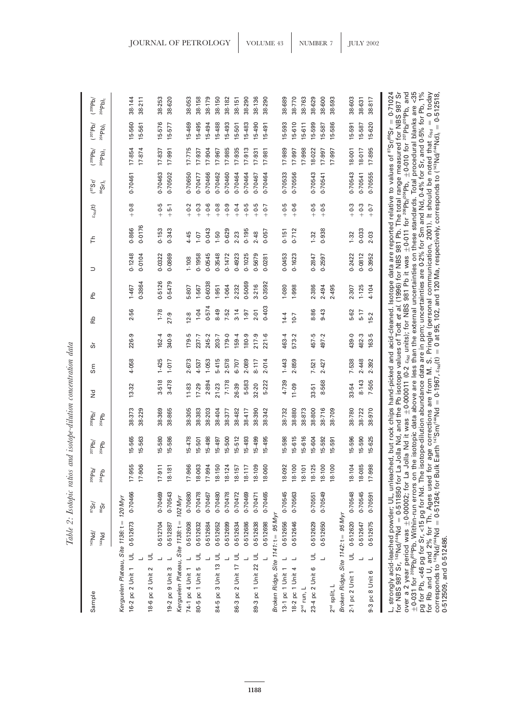Table 2: Isotopic ratios and isotope-dilution concentration data *Table 2: Isotopic ratios and isotope-dilution concentration data*

| Sample                                                                                                                                                                                                                                                                                                                                                                                                                                                                                                                                                                                      | /pN <sub>871</sub><br>$144$ Nd | $^{87}$ Sr/<br>$5\%$ | $^{206}\mathrm{Pb}/$<br>204Pb | 207Pb<br>$q_{\rm d}$ <sub>204</sub>                                                                                                                                               | $\mu_{\rm de}$<br>204Pb | $\geq$         | Sm              | ဟ              | Вb            | 운                | ⊃                | ᅼ                 | $\epsilon_{\rm Nd}(\rm t)$ | $\mu_{\rm Ses}$<br>$^{86}$ Sr) <sub>t</sub> | (206Pb)<br>204P <sub>b</sub> | (207Pb)<br>204P <sub>b</sub> | (49802)<br>204Pb)    |
|---------------------------------------------------------------------------------------------------------------------------------------------------------------------------------------------------------------------------------------------------------------------------------------------------------------------------------------------------------------------------------------------------------------------------------------------------------------------------------------------------------------------------------------------------------------------------------------------|--------------------------------|----------------------|-------------------------------|-----------------------------------------------------------------------------------------------------------------------------------------------------------------------------------|-------------------------|----------------|-----------------|----------------|---------------|------------------|------------------|-------------------|----------------------------|---------------------------------------------|------------------------------|------------------------------|----------------------|
| Kerguelen Plateau, Site 1136: t = 120 Myr<br>16-2 pc 2 Unit 1 UL                                                                                                                                                                                                                                                                                                                                                                                                                                                                                                                            | 0-512673                       | 0-70466              | 17.955<br>୭<br>17.90          | 15-565<br>15-563                                                                                                                                                                  | 38-373<br>38.229        | 13.32          | 4.058           | 226.9          | 2.56          | 0.3864<br>1.467  | 0.1248<br>0.0104 | 0.0176<br>0.866   | $+0.8$                     | 0.70461                                     | 17-854<br>17.874             | 15-560<br>15-561             | 38.144<br>$38 - 211$ |
| $\exists$<br>18-6 pc 2 Unit 2                                                                                                                                                                                                                                                                                                                                                                                                                                                                                                                                                               |                                |                      |                               |                                                                                                                                                                                   |                         |                |                 |                |               |                  |                  |                   |                            |                                             |                              |                              |                      |
| 19-2 pc 9 Unit 3                                                                                                                                                                                                                                                                                                                                                                                                                                                                                                                                                                            | 0.512704<br>0.512887           | 0.70469<br>0.70543   | 17.911<br>18.181              | 15-586<br>15-580                                                                                                                                                                  | 38-369<br>38-865        | 3.478<br>3.518 | 1.425<br>1.017  | 162.4<br>340.9 | 1.78<br>27.9  | 0.5126<br>0.5479 | 0.0869<br>0.0322 | 0.153<br>0.343    | $-0.5$<br>$-5 - 1$         | 0.70502<br>0.70463                          | 17.991<br>17.837             | 15-576<br>15-577             | 38.253<br>38-620     |
| Kerguelen Plateau, Site 1138: t=                                                                                                                                                                                                                                                                                                                                                                                                                                                                                                                                                            |                                | 102 Myr              |                               |                                                                                                                                                                                   |                         |                |                 |                |               |                  |                  |                   |                            |                                             |                              |                              |                      |
| $\exists$<br>$\overline{\phantom{0}}$<br>74-1 pc 4 Unit 1                                                                                                                                                                                                                                                                                                                                                                                                                                                                                                                                   | 0-512608                       | 0.70680              | 17.966                        | 15-478                                                                                                                                                                            | 38-305                  | 11.83          | 2.673           | 179.5          | 12.8          | 5.807            | 1.108            | 4.45              | $+0.2$                     | 0-70650                                     | 17.775                       | 15-469                       | 38.053               |
| 80-5 pc 1 Unit 5                                                                                                                                                                                                                                                                                                                                                                                                                                                                                                                                                                            | 0-512632<br>0-512684           | 0.70478<br>0.70467   | 18.063<br>17.994              | 15-498<br>$15 - 501$                                                                                                                                                              | 38-383<br>38-203        | 2.894<br>17.29 | $-053$<br>4.537 | 237-7<br>245-2 | 0.574<br>1.04 | 0.6038<br>1.567  | 0.1958<br>0.0545 | 0.043<br>$1 - 07$ | $+0.3$<br>$+0.6$           | 0.70466<br>0.70477                          | 17.904<br>17.937             | 15.495<br>15-494             | 38.158<br>38.179     |
| $\exists$<br>84-5 pc 3 Unit 13                                                                                                                                                                                                                                                                                                                                                                                                                                                                                                                                                              | 0-512652                       | 0-70480              | 18.150                        | 15.497                                                                                                                                                                            | 38-404                  | $21 - 23$      | 5.415           | 203-7          | 8.49          | 1.951            | 0.3548           | 1.50              | $+0.8$                     | 0.70462                                     | 17.967                       | 15.488                       | 38.150               |
|                                                                                                                                                                                                                                                                                                                                                                                                                                                                                                                                                                                             | 0.512699                       | 0.70478              | 18.124                        | 15-500                                                                                                                                                                            | 38.377                  | 7.178          | 2.578           | 179.0          | 7.52          | 1.064            | 0.1472           | 0.629             | $-0.9$                     | 0-70460                                     | 17.985                       | 15-493                       | 38-182               |
| 86-3 pc 2 Unit 17 UL                                                                                                                                                                                                                                                                                                                                                                                                                                                                                                                                                                        | 0-512634                       | 0.70472              | 18.157                        | 15-512                                                                                                                                                                            | 38-482                  | 26.39          | 6.707           | 159.4          | 3.14          | 2.232            | 0.4923           | 2.23              | $+0.4$                     | 0.70464                                     | 17.935                       | 15-501                       | 38.151               |
|                                                                                                                                                                                                                                                                                                                                                                                                                                                                                                                                                                                             | 0-512686                       | 0.70469              | 18.117                        | 15-493                                                                                                                                                                            | 38-417                  | 5.583          | 2.089           | 180.9          | 1.97          | 0.5069           | 0.1025           | 0.195             | $+0.5$                     | 0.70464                                     | 17.913                       | 15.483                       | 38.290               |
| 89-3 pc 1 Unit 22 UL                                                                                                                                                                                                                                                                                                                                                                                                                                                                                                                                                                        | 0.512638                       | 0.70471              | 18.109                        | 15.499                                                                                                                                                                            | 38.390                  | 32-20          | 8.117           | 217.9          | 2.01          | 3.216            | 0.5679           | 2.48              | $+0.5$                     | 0467-04                                     | 17.931                       | 15-490                       | 38-136               |
|                                                                                                                                                                                                                                                                                                                                                                                                                                                                                                                                                                                             | 0-512698                       | 0-70465              | 18-060                        | 15-495                                                                                                                                                                            | 38-342                  | 5.222          | 2.014           | 221.6          | 0.403         | 0.3592           | 0.0281           | 0.057             | $-0.7$                     | 0.70464                                     | 17.981                       | 15-491                       | 38.290               |
| Broken Ridge, Site 1141: t = 95 Myr                                                                                                                                                                                                                                                                                                                                                                                                                                                                                                                                                         |                                |                      |                               |                                                                                                                                                                                   |                         |                |                 |                |               |                  |                  |                   |                            |                                             |                              |                              |                      |
| 13-1 pc 1 Unit 1                                                                                                                                                                                                                                                                                                                                                                                                                                                                                                                                                                            | 0-512656                       | 0.70545              | 18.092                        | 15-598                                                                                                                                                                            | 38.732                  | 4.739          | 1.443           | 463.4          | 14.4          | 1.080            | 0.0453           | 0.151             | $-0.5$                     | 0.70533                                     | 17.989                       | 15-593                       | 38-689               |
| 18-2 pc 1 Unit 4                                                                                                                                                                                                                                                                                                                                                                                                                                                                                                                                                                            | 0-512646                       | 0.70563              | 18-100                        | 15-615                                                                                                                                                                            | 38-880                  | 11.09          | 2.859           | 573.2          | 10.7          | 1.998            | 0.1623           | 0.712             | $+0.6$                     | 0.70556                                     | 17.997                       | 15-610                       | 38.770               |
| 2 <sup>nd</sup> run, L                                                                                                                                                                                                                                                                                                                                                                                                                                                                                                                                                                      |                                |                      | 18.101                        | 15-616                                                                                                                                                                            | 38-873                  |                |                 |                |               |                  |                  |                   |                            |                                             | 17.998                       | $15-611$                     | 38.763               |
| $\exists$<br>23-4 pc 2 Unit 6                                                                                                                                                                                                                                                                                                                                                                                                                                                                                                                                                               | 0.512629                       | 0.70551              | 18.125                        | 15-604                                                                                                                                                                            | 38-800                  | 33-51          | 7.521           | 457.5          | 8.86          | 2.386            | 0.2847           | 1.32              | $-0.5 +$                   | 0.70543                                     | 18.022                       | 15-599                       | 38-629               |
|                                                                                                                                                                                                                                                                                                                                                                                                                                                                                                                                                                                             | 0-512650                       | 0.70549              | 18.100                        | 5-592                                                                                                                                                                             | 38-716                  | 8.568          | 2.427           | 497.2          | 9.43          | 2.494            | 0.2597           | 0.938             | $-0.5$                     | 0.70541                                     | 17.997                       | 15-587                       | 38.600               |
| $2nd$ split, L                                                                                                                                                                                                                                                                                                                                                                                                                                                                                                                                                                              |                                |                      | 18.100                        | 15-591                                                                                                                                                                            | 38.709                  |                |                 |                |               | 2.495            |                  |                   |                            |                                             | 17.997                       | 15-586                       | 38-593               |
| Broken Ridge, Site 1142: t = 95 Myr                                                                                                                                                                                                                                                                                                                                                                                                                                                                                                                                                         |                                |                      |                               |                                                                                                                                                                                   |                         |                |                 |                |               |                  |                  |                   |                            |                                             |                              |                              |                      |
| $\exists$<br>2-1 pc 2 Unit 1                                                                                                                                                                                                                                                                                                                                                                                                                                                                                                                                                                | 0-512620                       | 0.70548              | 18.104                        | 15-596                                                                                                                                                                            | 38.780                  | 33-54          | 7.538           | 439.0          | 5-62          | 2.307            | 0.2422           | 1.32              | $+0.3$                     | 0.70543                                     | 18-001                       | 15-591                       | 38-603               |
|                                                                                                                                                                                                                                                                                                                                                                                                                                                                                                                                                                                             | 0-512647                       | 0.70545              | 18.085                        | 15-590                                                                                                                                                                            | 38.722                  | 8.143          | 2.448           | 482.3          | 5.17          | 1.125            | 0.0812           | 0.033             | $+0.3$                     | 0.70541                                     | 18-017                       | 15-587                       | 38-631               |
| 9-3 pc 8 Unit 6                                                                                                                                                                                                                                                                                                                                                                                                                                                                                                                                                                             | 0.512675                       | 0.70591              | 17.998                        | 15-625                                                                                                                                                                            | 38-970                  | 7.505          | 2.392           | 163.5          | 15.2          | 4.104            | 0.3952           | 2.03              | $+0.7$                     | 0.70555                                     | 17.895                       | 15-620                       | 38-817               |
| L, strongly acid-leached powder; UL, unleached, but rock chips hand-picked and acid-cleaned. Isotope data are reported relative to values of <sup>87</sup> Sr/ <sup>88</sup> Sr = 0.71024<br>for NBS 987 Sr, <sup>143</sup> Nd/ <sup>44</sup> Nd = 0.511850 for La Jolla Nd<br>over a 2 year period was ±0.00002; for La Jolla Nd it was ±0.000011 (0.2 <sub>&amp;d</sub> units); for NBS 981 Pb it was ±0.011 for <sup>20e</sup> Pb/ <sup>242</sup> Pb, ±0.010 for <sup>207</sup> Pb/ <sup>24P</sup> b,<br>±0.031 for <sup>20e</sup> Pb/ <sup>24P</sup> b. Within-run errors on the isotop |                                |                      |                               | Jolla Nd it was $\pm$ 0.000011 (0.2 $\varepsilon_{\rm{Na}}$ units); for NBS 981 Pb it was $\pm$ 0.011 for $^{208}$ Pb/ $^{204}$ Pb, $\pm$ 0.010 for $^{207}$ Pb/ $^{204}$ Pb, and |                         |                |                 |                |               |                  |                  |                   |                            |                                             |                              |                              | &56                  |

JOURNAL OF PETROLOGY | VOLUME 43 | NUMBER 7 | JULY 2002

pg for Pb, <46 pg for Sr, <15 pg for Nd. The isotope-dilution abundance data are in ppm; uncertainties are 0·2% for Sm and Nd, 0·4% for Sr, and 0·5% for Pb, 1%

for Rb and U, and 2% for Th. Ages used for age corrections are from M. S. Pringle (personal communication, 2001). It should be noted that -

 $=0.1967$ ,  $\varepsilon$ 

Nd(t)

 $=0$  at 95, 102, and 120 Ma, respectively, corresponds to ( $^{143}$ Nd/ $^{44}$ Nd)

corresponds to 143Nd/144Nd

0·512509, and 0·512486.

 $= 0.51264$ ; for Bulk Earth  $147$ Sm/ $144$ Nd

Z

 $\mathbb{I}$  $_{\rm t} = 0.512518,$ 

 $= 0$  today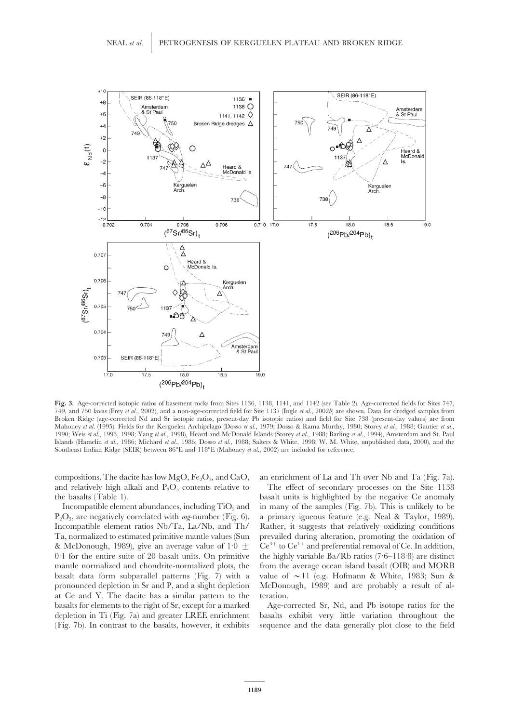

**Fig. 3.** Age-corrected isotopic ratios of basement rocks from Sites 1136, 1138, 1141, and 1142 (see Table 2). Age-corrected fields for Sites 747, 749, and 750 lavas (Frey *et al.*, 2002), and a non-age-corrected field for Site 1137 (Ingle *et al.*, 2002*b*) are shown. Data for dredged samples from Broken Ridge (age-corrected Nd and Sr isotopic ratios, present-day Pb isotopic ratios) and field for Site 738 (present-day values) are from Mahoney *et al.* (1995). Fields for the Kerguelen Archipelago (Dosso *et al.*, 1979; Dosso & Rama Murthy, 1980; Storey *et al.*, 1988; Gautier *et al.*, 1990; Weis *et al.*, 1993, 1998; Yang *et al.*, 1998), Heard and McDonald Islands (Storey *et al.*, 1988; Barling *et al.*, 1994), Amsterdam and St. Paul Islands (Hamelin *et al.*, 1986; Michard *et al.*, 1986; Dosso *et al.*, 1988; Salters & White, 1998; W. M. White, unpublished data, 2000), and the Southeast Indian Ridge (SEIR) between 86°E and 118°E (Mahoney *et al.*, 2002) are included for reference.

compositions. The dacite has low MgO,  $Fe<sub>2</sub>O<sub>3</sub>$ , and CaO, an enrichment of La and Th over Nb and Ta (Fig. 7a). and relatively high alkali and  $P_2O_5$  contents relative to The effect of secondary processes on the Site 1138

P2O5, are negatively correlated with *mg*-number (Fig. 6). a primary igneous feature (e.g. Neal & Taylor, 1989). Incompatible element ratios Nb/Ta, La/Nb, and Th/ Rather, it suggests that relatively oxidizing conditions Ta, normalized to estimated primitive mantle values (Sun prevailed during alteration, promoting the oxidation of & McDonough, 1989), give an average value of  $1.0 \pm Ce^{3+}$  to  $Ce^{4+}$  and preferential removal of Ce. In addition, 0·1 for the entire suite of 20 basalt units. On primitive the highly variable Ba/Rb ratios (7·6–118·8) are distinct mantle normalized and chondrite-normalized plots, the from the average ocean island basalt (OIB) and MORB basalt data form subparallel patterns (Fig. 7) with a value of  $\sim$  11 (e.g. Hofmann & White, 1983; Sun & pronounced depletion in Sr and P, and a slight depletion McDonough, 1989) and are probably a result of alat Ce and Y. The dacite has a similar pattern to the teration. basalts for elements to the right of Sr, except for a marked Age-corrected Sr, Nd, and Pb isotope ratios for the depletion in Ti (Fig. 7a) and greater LREE enrichment basalts exhibit very little variation throughout the (Fig. 7b). In contrast to the basalts, however, it exhibits sequence and the data generally plot close to the field

the basalts (Table 1). basalt units is highlighted by the negative Ce anomaly Incompatible element abundances, including  $TiO<sub>2</sub>$  and in many of the samples (Fig. 7b). This is unlikely to be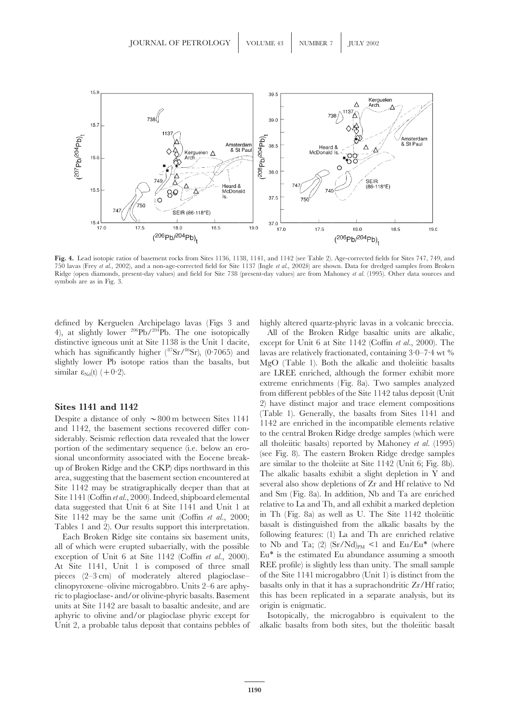

**Fig. 4.** Lead isotopic ratios of basement rocks from Sites 1136, 1138, 1141, and 1142 (see Table 2). Age-corrected fields for Sites 747, 749, and 750 lavas (Frey *et al.*, 2002), and a non-age-corrected field for Site 1137 (Ingle *et al.*, 2002*b*) are shown. Data for dredged samples from Broken Ridge (open diamonds, present-day values) and field for Site 738 (present-day values) are from Mahoney *et al.* (1995). Other data sources and symbols are as in Fig. 3.

4), at slightly lower  $^{206}Pb/^{204}Pb$ . The one isotopically All of the Broken Ridge basaltic units are alkalic, distinctive igneous unit at Site 1138 is the Unit 1 dacite, except for Unit 6 at Site 1142 (Coffin *et al.* which has significantly higher  $({}^{87}Sr/{}^{86}Sr)_{t}$  (0·7065) and lavas are relatively fractionated, containing 3·0–7·4 wt % slightly lower Pb isotope ratios than the basalts, but MgO (Table 1). Both the alkalic and tholeiitic basalts similar  $\varepsilon_{Nd}(t)$  (+0.2).

pieces (2–3 cm) of moderately altered plagioclaseric to plagioclase- and/or olivine-phyric basalts. Basement units at Site 1142 are basalt to basaltic andesite, and are origin is enigmatic. aphyric to olivine and/or plagioclase phyric except for Isotopically, the microgabbro is equivalent to the

defined by Kerguelen Archipelago lavas (Figs 3 and highly altered quartz-phyric lavas in a volcanic breccia.

except for Unit 6 at Site 1142 (Coffin *et al.*, 2000). The are LREE enriched, although the former exhibit more extreme enrichments (Fig. 8a). Two samples analyzed from different pebbles of the Site 1142 talus deposit (Unit Sites 1141 and 1142<br>
<sup>2)</sup> have distinct major and trace element compositions (Table 1). Generally, the basalts from Sites 1141 and Despite a distance of only ~800 m between Sites 1141 (Table 1). Generally, the basalts from Sites 1141 and<br>and 1142, the basement sections recovered differ con-<br>siderably. Seismic reflection data revealed that the lower<br>p Site 1142 may be the same unit (Coffin *et al.*, 2000;  $\frac{m}{2}$  In (Fig. 8a) as well as U. The Site 1142 tholentic Tables 1 and 2). Our results support this interpretation. basalt is distinguished from the alkalic basalt Each Broken Ridge site contains six basement units, following features: (1) La and Th are enriched relative all of which were erupted subaerially, with the possible to Nb and Ta; (2)  $(Sr/Nd)_{PM}$  <1 and Eu/Eu\* (where exception of Unit 6 at Site 1142 (Coffin *et al.*, 2000). Eu∗ is the estimated Eu abundance assuming a smooth At Site 1141, Unit 1 is composed of three small REE profile) is slightly less than unity. The small sample pieces  $(2-3 \text{ cm})$  of moderately altered plagioclase of the Site 1141 microgabbro (Unit 1) is distinct from the clinopyroxene–olivine microgabbro. Units 2–6 are aphy- basalts only in that it has a suprachondritic Zr/Hf ratio;

Unit 2, a probable talus deposit that contains pebbles of alkalic basalts from both sites, but the tholeiitic basalt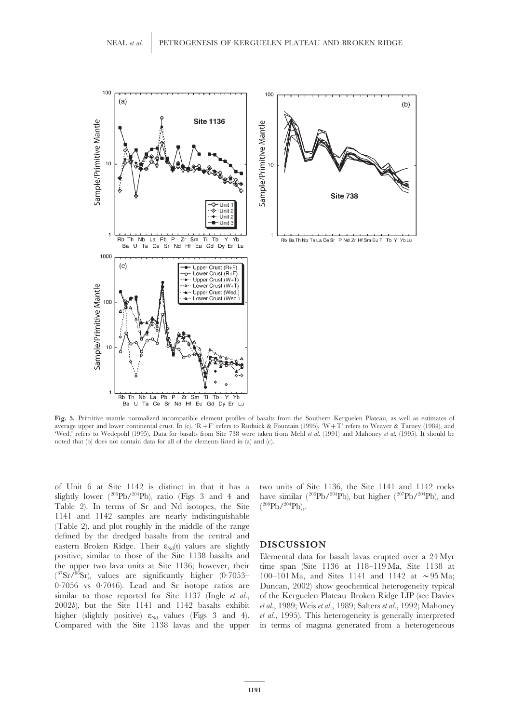

Fig. 5. Primitive mantle normalized incompatible element profiles of basalts from the Southern Kerguelen Plateau, as well as estimates of average upper and lower continental crust. In (c), 'R+F' refers to Rudnick & Fountain (1995), 'W+T' refers to Weaver & Tarney (1984), and 'Wed.' refers to Wedepohl (1995). Data for basalts from Site 738 were taken from Mehl *et al.* (1991) and Mahoney *et al.* (1995). It should be noted that (b) does not contain data for all of the elements listed in (a) and (c).

slightly lower ( $^{206}Pb/^{204}Pb$ )<sub>t</sub> ratio (Figs 3 and 4 and have similar ( $^{206}Pb/^{204}Pb$ )<sub>t</sub> but higher ( $^{207}Pb/^{204}Pb$ )<sub>t</sub> and Table 2). In terms of Sr and Nd isotopes, the Site 1141 and 1142 samples are nearly indistinguishable (Table 2), and plot roughly in the middle of the range defined by the dredged basalts from the central and eastern Broken Ridge. Their  $\varepsilon_{Nd}(t)$  values are slightly **DISCUSSION** positive, similar to those of the Site 1138 basalts and Elemental data for basalt lavas erupted over a 24 Myr the upper two lava units at Site 1136; however, their time span (Site 1136 at 118–119 Ma, Site 1138 at  $({}^{87}Sr/{}^{86}Sr)$ , values are significantly higher  $(0.7053-$ 0·7056 vs 0·7046). Lead and Sr isotope ratios are Duncan, 2002) show geochemical heterogeneity typical similar to those reported for Site 1137 (Ingle *et al.*, of the Kerguelen Plateau–Broken Ridge LIP (see Davies 2002*b*), but the Site 1141 and 1142 basalts exhibit *et al.*, 1989; Weis *et al.*, 1989; Salters *et al.*, 1992; Mahoney higher (slightly positive)  $\varepsilon_{Nd}$  values (Figs 3 and 4). higher (slightly positive)  $\varepsilon_{Nd}$  values (Figs 3 and 4). *et al.*, 1995). This heterogeneity is generally interpreted Compared with the Site 1138 lavas and the upper in terms of magma generated from a heterogeneous

of Unit 6 at Site 1142 is distinct in that it has a two units of Site 1136, the Site 1141 and 1142 rocks  $(^{208}Pb/^{204}Pb)_t$ .

100-101 Ma, and Sites 1141 and 1142 at  $\sim$ 95 Ma; in terms of magma generated from a heterogeneous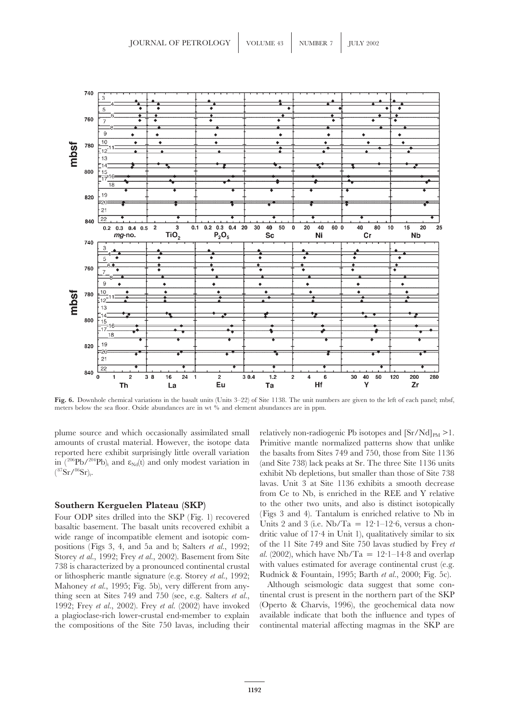

**Fig. 6.** Downhole chemical variations in the basalt units (Units 3–22) of Site 1138. The unit numbers are given to the left of each panel; mbsf, meters below the sea floor. Oxide abundances are in wt % and element abundances are in ppm.

amounts of crustal material. However, the isotope data Primitive mantle normalized patterns show that unlike reported here exhibit surprisingly little overall variation the basalts from Sites 749 and 750, those from Site 1136 in  $(^{206}Pb/^{204}Pb)$ <sub>t</sub> and  $\varepsilon_{Nd}(t)$  and only modest variation in  $({}^{87}\text{Sr}/{}^{86}\text{Sr})_{t}$ .

wide range of incompatible element and isotopic com-<br>positions (Figs 3, 4, and 5a and by Salters et al. 1999) of the 11 Site 749 and Site 750 layas studied by Frey et positions (Figs 3, 4, and 5a and b; Salters *et al.*, 1992; of the 11 Site 749 and Site 750 lavas studied by Frey *et*<br>Storey *et al.*, 1992; Frey *et al.*, 2002). Basement from Site *al.* (2002), which have Nb/Ta = 12·1– Storey *et al.*, 1992; Frey *et al.*, 2002). Basement from Site 738 is characterized by a pronounced continental crustal with values estimated for average continental crust (e.g. or lithospheric mantle signature (e.g. Storey *et al.*, 1992; Rudnick & Fountain, 1995; Barth *et al.*, 20 or lithospheric mantle signature (e.g. Storey et al., 1992; Mahoney *et al.*, 1995; Fig. 5b), very different from any-<br>thing seen at Sites 749 and 750 (see, e.g. Salters *et al.*, tinental crust is present in the northern part of the SKP thing seen at Sites 749 and 750 (see, e.g. Salters *et al.*, 1992; Frey *et al.*, 2002). Frey *et al.* (2002) have invoked (Operto & Charvis, 1996), the geochemical data now a plagioclase-rich lower-crustal end-member to explain available indicate that both the influence and types of the compositions of the Site 750 lavas, including their continental material affecting magmas in the SKP are

plume source and which occasionally assimilated small relatively non-radiogenic Pb isotopes and  $\frac{Sr}{Nd}_{PM} > 1$ . (and Site 738) lack peaks at Sr. The three Site 1136 units exhibit Nb depletions, but smaller than those of Site 738 lavas. Unit 3 at Site 1136 exhibits a smooth decrease from Ce to Nb, is enriched in the REE and Y relative **Southern Kerguelen Plateau (SKP)** to the other two units, and also is distinct isotopically<br>From ODB sites dilled into the SKB (Ein 1) personnel. (Figs 3 and 4). Tantalum is enriched relative to Nb in Four ODP sites drilled into the SKP (Fig. 1) recovered  $\frac{Figs 3 and 4}$ . Tantalum is enriched relative to Nb in basaltic basement. The basalt units recovered exhibit a Units 2 and 3 (i.e. Nb/Ta = 12·1–12·6, versus a chon- ba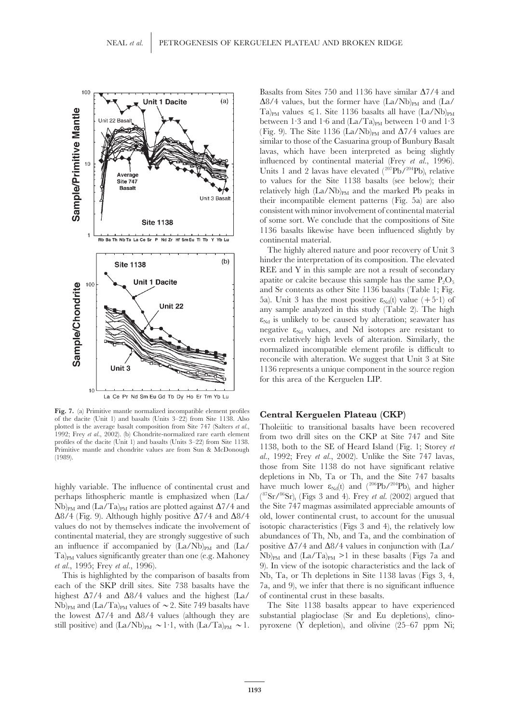

**Fig. 7.** (a) Primitive mantle normalized incompatible element profiles of the dacite (Unit 1) and basalts (Units 3–22) from Site 1138. Also **Central Kerguelen Plateau (CKP)** plotted is the average basalt composition from plotted is the average basalt composition from Site 747 (Salters *et al.*, Tholeiitic to transitional basalts have been recovered<br>1992: Frey *et al.*, 2002), (b) Chondrite-normalized rare earth element from the skill sites 1992; Frey *et al.*, 2002). (b) Chondrite-normalized rare earth element from two drill sites on the CKP at Site 747 and Site profiles of the dacite (Unit 1) and basalts (Units 3–22) from Site 1138. profiles of the dacite (Unit 1) and basalts (Units 3–22) from Site 1138. 1138, both to the SE of Heard Island (Fig. 1; Storey *et* Primitive mantle and chondrite values are from Sun & McDonough (1989). *al.*, 1992; Frey *et al.*, 2002). Unlike the Site 747 lavas,

perhaps lithospheric mantle is emphasized when (La/ Nb)<sub>PM</sub> and (La/Ta)<sub>PM</sub> ratios are plotted against  $\Delta$ 7/4 and the Site 747 magmas assimilated appreciable amounts of  $\Delta 8/4$  (Fig. 9). Although highly positive  $\Delta 7/4$  and  $\Delta 8/4$  old, lower continental crust, to account for the unusual values do not by themselves indicate the involvement of isotopic characteristics (Figs 3 and 4), the relatively low continental material, they are strongly suggestive of such abundances of Th, Nb, and Ta, and the combination of an influence if accompanied by  $(La/Nb)_{PM}$  and  $(La/\nabla b)_{PM}$  and  $\Delta 7/4$  and  $\Delta 8/4$  values in conjunction with  $(La/\nabla b)_{PM}$ Ta)<sub>PM</sub> values significantly greater than one (e.g. Mahoney Nb)<sub>PM</sub> and  $(La/Ta)_{PM} >1$  in these basalts (Figs 7a and *et al.*, 1995; Frey *et al.*, 1996). 9). In view of the isotopic characteristics and the lack of

highest  $\Delta$ 7/4 and  $\Delta$ 8/4 values and the highest (La/ of continental crust in these basalts.  $Nb)_{PM}$  and  $(La/Ta)_{PM}$  values of  $\sim$  2. Site 749 basalts have The Site 1138 basalts appear to have experienced

Basalts from Sites 750 and 1136 have similar  $\Delta$ 7/4 and  $\Delta$ 8/4 values, but the former have (La/Nb)<sub>PM</sub> and (La/ Ta)<sub>PM</sub> values  $\leq 1$ . Site 1136 basalts all have (La/Nb)<sub>PM</sub> between  $1.3$  and  $1.6$  and  $(La/Ta)_{PM}$  between  $1.0$  and  $1.3$ (Fig. 9). The Site 1136 (La/Nb)<sub>PM</sub> and  $\Delta$ 7/4 values are similar to those of the Casuarina group of Bunbury Basalt lavas, which have been interpreted as being slightly influenced by continental material (Frey *et al.*, 1996). Units 1 and 2 lavas have elevated  $(^{207}Pb/^{204}Pb)$ <sub>r</sub> relative to values for the Site 1138 basalts (see below); their relatively high  $(La/Nb)_{PM}$  and the marked Pb peaks in their incompatible element patterns (Fig. 5a) are also consistent with minor involvement of continental material of some sort. We conclude that the compositions of Site 1136 basalts likewise have been influenced slightly by continental material.

The highly altered nature and poor recovery of Unit 3 hinder the interpretation of its composition. The elevated REE and Y in this sample are not a result of secondary apatite or calcite because this sample has the same  $P_2O_5$ and Sr contents as other Site 1136 basalts (Table 1; Fig. 5a). Unit 3 has the most positive  $\varepsilon_{Nd}(t)$  value  $(+5.1)$  of any sample analyzed in this study (Table 2). The high  $\varepsilon_{\text{Nd}}$  is unlikely to be caused by alteration; seawater has negative  $\varepsilon_{Nd}$  values, and Nd isotopes are resistant to even relatively high levels of alteration. Similarly, the normalized incompatible element profile is difficult to reconcile with alteration. We suggest that Unit 3 at Site 1136 represents a unique component in the source region for this area of the Kerguelen LIP.

those from Site 1138 do not have significant relative depletions in Nb, Ta or Th, and the Site 747 basalts highly variable. The influence of continental crust and have much lower  $\varepsilon_{Nd}(t)$  and  $(^{206}Pb/^{204}Pb)_t$  and higher  $({}^{87}\text{Sr}/{}^{86}\text{Sr})_{t}$  (Figs 3 and 4). Frey *et al.* (2002) argued that This is highlighted by the comparison of basalts from Nb, Ta, or Th depletions in Site 1138 lavas (Figs 3, 4, each of the SKP drill sites. Site 738 basalts have the 7a, and 9), we infer that there is no significant influence

the lowest  $\Delta 7/4$  and  $\Delta 8/4$  values (although they are substantial plagioclase (Sr and Eu depletions), clinostill positive) and  $(La/Nb)_{PM} \sim 1.1$ , with  $(La/Ta)_{PM} \sim 1.$  pyroxene (Y depletion), and olivine (25–67 ppm Ni;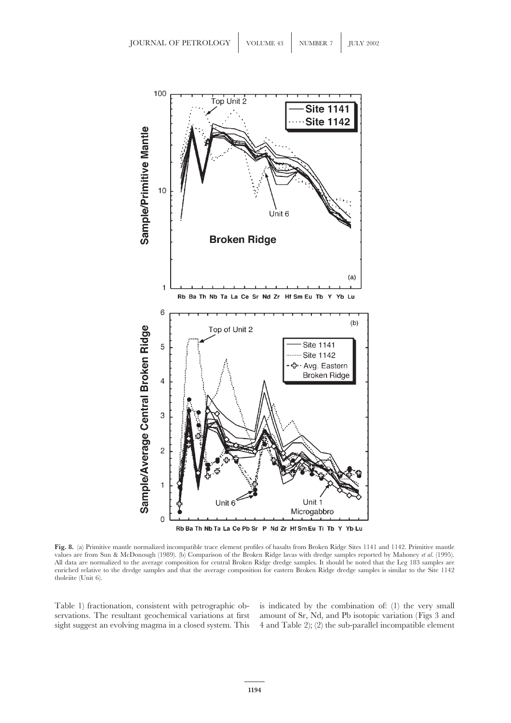

Fig. 8. (a) Primitive mantle normalized incompatible trace element profiles of basalts from Broken Ridge Sites 1141 and 1142. Primitive mantle values are from Sun & McDonough (1989). (b) Comparison of the Broken Ridge lavas with dredge samples reported by Mahoney *et al.* (1995). All data are normalized to the average composition for central Broken Ridge dredge samples. It should be noted that the Leg 183 samples are enriched relative to the dredge samples and that the average composition for eastern Broken Ridge dredge samples is similar to the Site 1142 tholeiite (Unit 6).

servations. The resultant geochemical variations at first amount of Sr, Nd, and Pb isotopic variation (Figs 3 and sight suggest an evolving magma in a closed system. This  $4$  and Table 2); (2) the sub-parallel incompatible element

Table 1) fractionation, consistent with petrographic ob- is indicated by the combination of: (1) the very small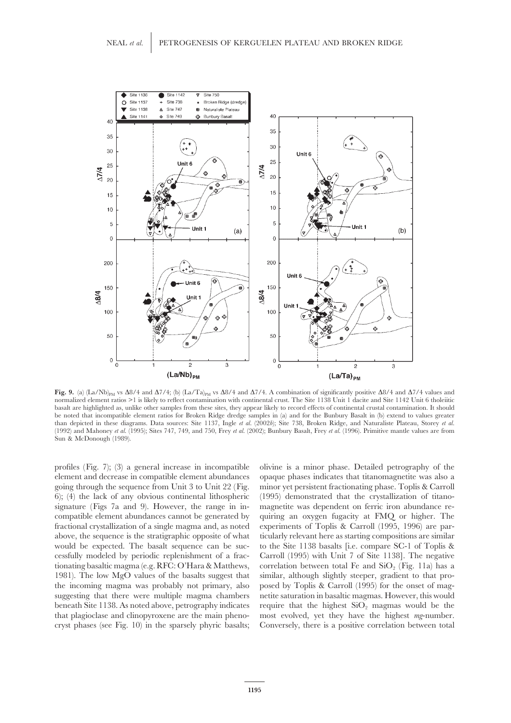

**Fig. 9.** (a)  $(La/Nb)_{PM}$  vs  $\Delta 8/4$  and  $\Delta 7/4$ ; (b)  $(La/Ta)_{PM}$  vs  $\Delta 8/4$  and  $\Delta 7/4$ . A combination of significantly positive  $\Delta 8/4$  and  $\Delta 7/4$  values and normalized element ratios >1 is likely to reflect contamination with continental crust. The Site 1138 Unit 1 dacite and Site 1142 Unit 6 tholeiitic basalt are highlighted as, unlike other samples from these sites, they appear likely to record effects of continental crustal contamination. It should be noted that incompatible element ratios for Broken Ridge dredge samples in (a) and for the Bunbury Basalt in (b) extend to values greater than depicted in these diagrams. Data sources: Site 1137, Ingle *et al.* (2002*b*); Site 738, Broken Ridge, and Naturaliste Plateau, Storey *et al.* (1992) and Mahoney *et al.* (1995); Sites 747, 749, and 750, Frey *et al.* (2002); Bunbury Basalt, Frey *et al.* (1996). Primitive mantle values are from Sun & McDonough (1989).

profiles (Fig. 7); (3) a general increase in incompatible olivine is a minor phase. Detailed petrography of the compatible element abundances cannot be generated by quiring an oxygen fugacity at FMQ or higher. The fractional crystallization of a single magma and, as noted experiments of Toplis & Carroll (1995, 1996) are parabove, the sequence is the stratigraphic opposite of what ticularly relevant here as starting compositions are similar would be expected. The basalt sequence can be suc- to the Site 1138 basalts [i.e. compare SC-1 of Toplis & cessfully modeled by periodic replenishment of a frac- Carroll (1995) with Unit 7 of Site 1138]. The negative 1981). The low MgO values of the basalts suggest that similar, although slightly steeper, gradient to that pro-

element and decrease in compatible element abundances opaque phases indicates that titanomagnetite was also a going through the sequence from Unit 3 to Unit 22 (Fig. minor yet persistent fractionating phase. Toplis & Carroll 6); (4) the lack of any obvious continental lithospheric (1995) demonstrated that the crystallization of titanosignature (Figs 7a and 9). However, the range in in- magnetite was dependent on ferric iron abundance retionating basaltic magma (e.g. RFC: O'Hara & Matthews, correlation between total Fe and SiO<sub>2</sub> (Fig. 11a) has a the incoming magma was probably not primary, also posed by Toplis & Carroll (1995) for the onset of magsuggesting that there were multiple magma chambers netite saturation in basaltic magmas. However, this would beneath Site 1138. As noted above, petrography indicates require that the highest  $SiO<sub>2</sub>$  magmas would be the that plagioclase and clinopyroxene are the main pheno- most evolved, yet they have the highest *mg*-number. cryst phases (see Fig. 10) in the sparsely phyric basalts; Conversely, there is a positive correlation between total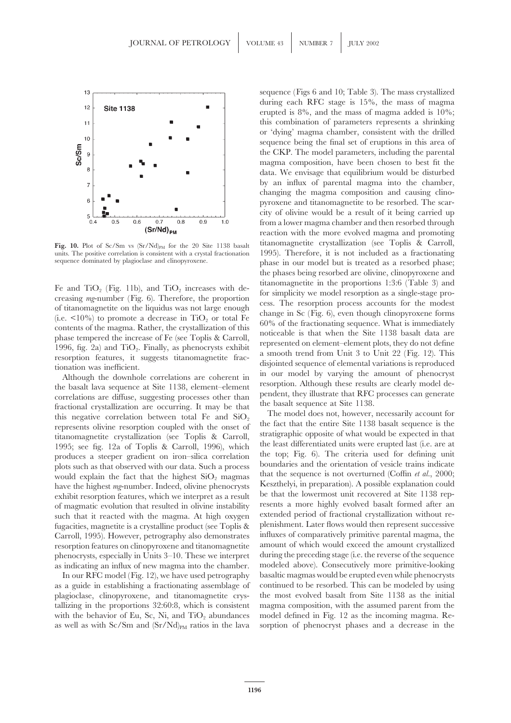

correlations are diffuse, suggesting processes other than<br>fractional crystallization are occurring. It may be that<br>this negative correlation between total Fe and SiO<sub>2</sub><br>removed does not, however, necessarily account for<br>re represents olivine resorption coupled with the onset of the fact that the entire Site 1138 basalt sequence is the titanomagnetite crystallization (see Toplis & Carroll, 1996), which the least differentiated units were erup boundaries and the orientation of vesicle trains indicate<br>would explain the fact that the highest SiO<sub>2</sub> magmas that the sequence is not overturned (Coffin *et al.*, 2000; would explain the fact that the highest  $\overline{SO}_2$  magmas<br>have the highest  $mg$ -number. Indeed, olivine phenocrysts<br>explanation. A possible explanation could<br>exhibit resorption features, which we interpret as a result<br>of ma of magmatic evolution that resulted in olivine instability resents a more highly evolved basalt formed after an<br>such that it reacted with the magma. At high oxygen extended period of fractional crystallization without resuch that it reacted with the magma. At high oxygen extended period of fractional crystallization without re-<br>fugacities magnetite is a crystalline product (see Toplis & plenishment. Later flows would then represent succes fugacities, magnetite is a crystalline product (see Toplis & plenishment. Later flows would then represent successive<br>Carroll, 1995). However, petrography also demonstrates influxes of comparatively primitive parental magm Carroll, 1995). However, petrography also demonstrates resorption features on clinopyroxene and titanomagnetite amount of which would exceed the amount crystallized phenocrysts, especially in Units 3–10. These we interpret during the preceding stage (i.e. the reverse of the sequence as indicating an influx of new magma into the chamber. modeled above). Consecutively more primitive-looking

plagioclase, clinopyroxene, and titanomagnetite crys-

sequence (Figs 6 and 10; Table 3). The mass crystallized during each RFC stage is 15%, the mass of magma erupted is 8%, and the mass of magma added is 10%; this combination of parameters represents a shrinking or 'dying' magma chamber, consistent with the drilled sequence being the final set of eruptions in this area of the CKP. The model parameters, including the parental magma composition, have been chosen to best fit the data. We envisage that equilibrium would be disturbed by an influx of parental magma into the chamber, changing the magma composition and causing clinopyroxene and titanomagnetite to be resorbed. The scarcity of olivine would be a result of it being carried up from a lower magma chamber and then resorbed through reaction with the more evolved magma and promoting **Fig. 10.** Plot of Sc/Sm vs (Sr/Nd)<sub>PM</sub> for the 20 Site 1138 basalt titanomagnetite crystallization (see Toplis & Carroll, units. The positive correlation is consistent with a crystal fractionation 1995). Therefore, it is 1995). Therefore, it is not included as a fractionating sequence dominated by plagioclase and clinopyroxene. phase in our model but is treated as a resorbed phase; the phases being resorbed are olivine, clinopyroxene and Fe and TiO<sub>2</sub> (Fig. 11b), and TiO<sub>2</sub> increases with de-<br>creasing mg-number (Fig. 6). Therefore, the proportion<br>of titanomagnetite in the proportions 1:3:6 (Table 3) and<br>for simplicity we model resorption as a single-stage in our model by varying the amount of phenocryst<br>Although the downhole correlations are coherent in the basalt lava sequence at Site 1138, element–element<br>resorption. Although these results are clearly model de-<br>pendent, t

In our RFC model (Fig. 12), we have used petrography basaltic magmas would be erupted even while phenocrysts as a guide in establishing a fractionating assemblage of continued to be resorbed. This can be modeled by using<br>plagioclase, clinopyroxene, and titanomagnetite crys- the most evolved basalt from Site 1138 as the initial tallizing in the proportions 32:60:8, which is consistent magma composition, with the assumed parent from the with the behavior of Eu, Sc, Ni, and TiO<sub>2</sub> abundances model defined in Fig. 12 as the incoming magma. Reas well as with  $Sc/Sm$  and  $(Sr/Nd)_{PM}$  ratios in the lava sorption of phenocryst phases and a decrease in the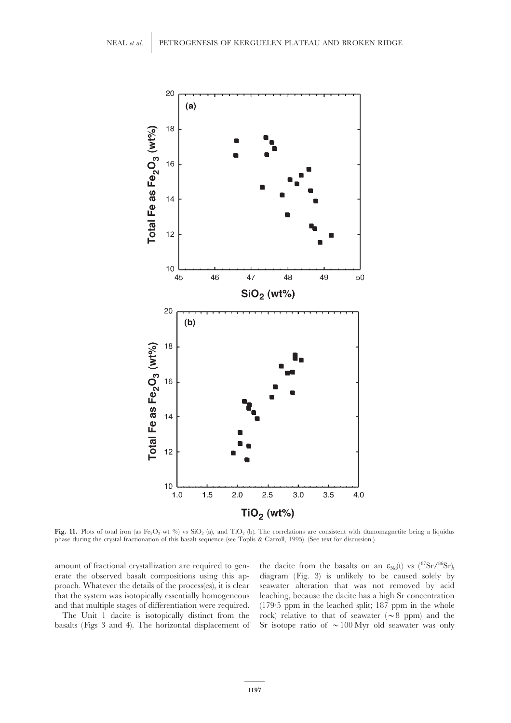

Fig. 11. Plots of total iron (as  $Fe<sub>2</sub>O<sub>3</sub>$  wt %) vs  $SiO<sub>2</sub>$  (a), and TiO<sub>2</sub> (b). The correlations are consistent with titanomagnetite being a liquidus phase during the crystal fractionation of this basalt sequence (see Toplis & Carroll, 1995). (See text for discussion.)

amount of fractional crystallization are required to gen-

basalts (Figs 3 and 4). The horizontal displacement of Sr isotope ratio of  $\sim$ 100 Myr old seawater was only

the dacite from the basalts on an  $\varepsilon_{Nd}(t)$  vs  $({}^{87}\text{Sr}/{}^{86}\text{Sr})_{t}$ erate the observed basalt compositions using this ap- diagram (Fig. 3) is unlikely to be caused solely by proach. Whatever the details of the process(es), it is clear seawater alteration that was not removed by acid that the system was isotopically essentially homogeneous leaching, because the dacite has a high Sr concentration and that multiple stages of differentiation were required. (179·5 ppm in the leached split; 187 ppm in the whole The Unit 1 dacite is isotopically distinct from the rock) relative to that of seawater ( $\sim 8$  ppm) and the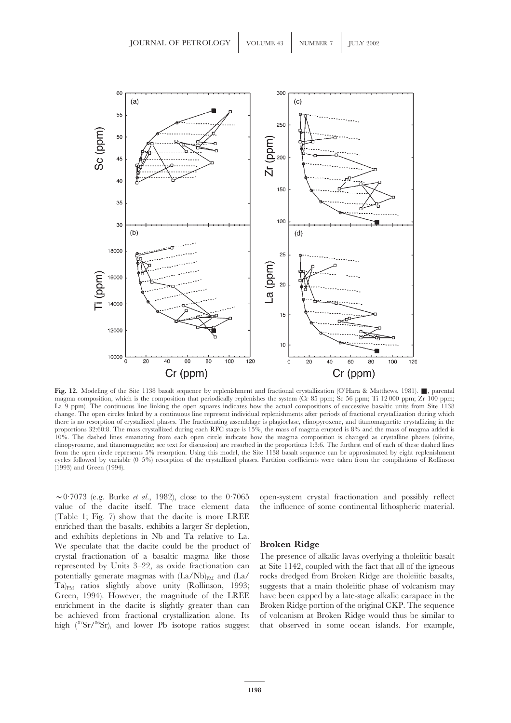

**Fig. 12.** Modeling of the Site 1138 basalt sequence by replenishment and fractional crystallization (O'Hara & Matthews, 1981). Ε, parental magma composition, which is the composition that periodically replenishes the system (Cr 85 ppm; Sc 56 ppm; Ti 12 000 ppm; Zr 100 ppm; La 9 ppm). The continuous line linking the open squares indicates how the actual compositions of successive basaltic units from Site 1138 change. The open circles linked by a continuous line represent individual replenishments after periods of fractional crystallization during which there is no resorption of crystallized phases. The fractionating assemblage is plagioclase, clinopyroxene, and titanomagnetite crystallizing in the proportions 32:60:8. The mass crystallized during each RFC stage is 15%, the mass of magma erupted is 8% and the mass of magma added is 10%. The dashed lines emanating from each open circle indicate how the magma composition is changed as crystalline phases (olivine, clinopyroxene, and titanomagnetite; see text for discussion) are resorbed in the proportions 1:3:6. The furthest end of each of these dashed lines from the open circle represents 5% resorption. Using this model, the Site 1138 basalt sequence can be approximated by eight replenishment cycles followed by variable (0–5%) resorption of the crystallized phases. Partition coefficients were taken from the compilations of Rollinson (1993) and Green (1994).

 $\sim$ 0.7073 (e.g. Burke *et al.*, 1982), close to the 0.7065 open-system crystal fractionation and possibly reflect value of the dacite itself. The trace element data the influence of some continental lithospheric material. (Table 1; Fig. 7) show that the dacite is more LREE enriched than the basalts, exhibits a larger Sr depletion, and exhibits depletions in Nb and Ta relative to La. We speculate that the dacite could be the product of **Broken Ridge** crystal fractionation of a basaltic magma like those The presence of alkalic lavas overlying a tholeiitic basalt represented by Units 3–22, as oxide fractionation can at Site 1142, coupled with the fact that all of the igneous potentially generate magmas with  $(La/Nb)_{PM}$  and  $(La/\text{rocks}$  dredged from Broken Ridge are tholeiitic basalts,  $Ta)_{PM}$  ratios slightly above unity (Rollinson, 1993; suggests that a main tholeiitic phase of volcanism may Green, 1994). However, the magnitude of the LREE have been capped by a late-stage alkalic carapace in the enrichment in the dacite is slightly greater than can Broken Ridge portion of the original CKP. The sequence be achieved from fractional crystallization alone. Its of volcanism at Broken Ridge would thus be similar to high  $({}^{87}Sr/{}^{86}Sr)$ , and lower Pb isotope ratios suggest that observed in some ocean islands. For example,

have been capped by a late-stage alkalic carapace in the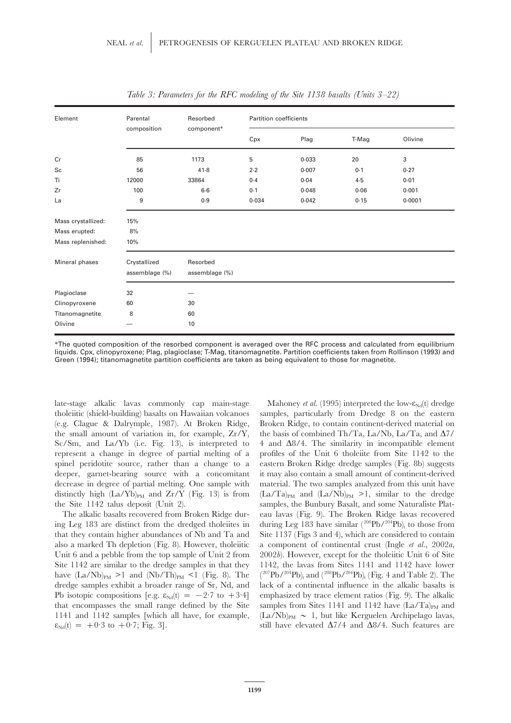| Element            | Parental<br>composition | Resorbed<br>component* | <b>Partition coefficients</b> |       |       |         |
|--------------------|-------------------------|------------------------|-------------------------------|-------|-------|---------|
|                    |                         |                        | Cpx                           | Plag  | T-Mag | Olivine |
| Cr                 | 85                      | 1173                   | 5                             | 0.033 | 20    | 3       |
| Sc                 | 56                      | 41.8                   | 2.2                           | 0.007 | 0.1   | 0.27    |
| Ti                 | 12000                   | 33864                  | 0.4                           | 0.04  | 4.5   | 0.01    |
| Zr                 | 100                     | $6-6$                  | 0.1                           | 0.048 | 0.06  | 0.001   |
| La                 | 9                       | 0.9                    | 0.034                         | 0.042 | 0.15  | 0.0001  |
| Mass crystallized: | 15%                     |                        |                               |       |       |         |
| Mass erupted:      | 8%                      |                        |                               |       |       |         |
| Mass replenished:  | 10%                     |                        |                               |       |       |         |
| Mineral phases     | Crystallized            | Resorbed               |                               |       |       |         |
|                    | assemblage (%)          | assemblage (%)         |                               |       |       |         |
| Plagioclase        | 32                      |                        |                               |       |       |         |
| Clinopyroxene      | 60                      | 30                     |                               |       |       |         |
| Titanomagnetite    | 8                       | 60                     |                               |       |       |         |
| Olivine            |                         | 10                     |                               |       |       |         |

*Table 3: Parameters for the RFC modeling of the Site 1138 basalts (Units 3–22)*

∗The quoted composition of the resorbed component is averaged over the RFC process and calculated from equilibrium liquids. Cpx, clinopyroxene; Plag, plagioclase; T-Mag, titanomagnetite. Partition coefficients taken from Rollinson (1993) and Green (1994); titanomagnetite partition coefficients are taken as being equivalent to those for magnetite.

late-stage alkalic lavas commonly cap main-stage the small amount of variation in, for example,  $Zr/Y$ , the basis of combined Th/Ta, La/Nb, La/Ta, and  $\Delta 7/$ decrease in degree of partial melting. One sample with material. The two samples analyzed from this unit have

Pb isotopic compositions [e.g.  $\varepsilon_{Nd}(t) = -2.7$  to  $+3.4$ ] 1141 and 1142 samples [which all have, for example,  $\varepsilon_{Nd}(t) = +0.3$  to  $+0.7$ ; Fig. 3].

Mahoney *et al.* (1995) interpreted the low- $\varepsilon_{Nd}(t)$  dredge tholeiitic (shield-building) basalts on Hawaiian volcanoes samples, particularly from Dredge 8 on the eastern (e.g. Clague & Dalrymple, 1987). At Broken Ridge, Broken Ridge, to contain continent-derived material on Sc/Sm, and La/Yb (i.e. Fig. 13), is interpreted to 4 and  $\Delta 8/4$ . The similarity in incompatible element represent a change in degree of partial melting of a profiles of the Unit 6 tholeiite from Site 1142 to the spinel peridotite source, rather than a change to a eastern Broken Ridge dredge samples (Fig. 8b) suggests deeper, garnet-bearing source with a concomitant it may also contain a small amount of continent-derived distinctly high  $(La/Yb)_{PM}$  and  $Zr/Y$  (Fig. 13) is from  $(La/Ta)_{PM}$  and  $(La/Nb)_{PM}$  >1, similar to the dredge the Site 1142 talus deposit (Unit 2). samples, the Bunbury Basalt, and some Naturaliste Plat-The alkalic basalts recovered from Broken Ridge dur- eau lavas (Fig. 9). The Broken Ridge lavas recovered ing Leg 183 are distinct from the dredged tholeiites in during Leg 183 have similar  $(^{206}Pb/^{204}Pb)$ <sub>t</sub> to those from that they contain higher abundances of Nb and Ta and Site 1137 (Figs 3 and 4), which are considered to contain also a marked Th depletion (Fig. 8). However, tholeiitic a component of continental crust (Ingle *et al.*, 2002*a*, Unit 6 and a pebble from the top sample of Unit 2 from 2002*b*). However, except for the tholeiitic Unit 6 of Site Site 1142 are similar to the dredge samples in that they 1142, the lavas from Sites 1141 and 1142 have lower have  $(La/Nb)_{PM} > 1$  and  $(Nb/Tb)_{PM} < 1$  (Fig. 8). The  $(^{207}Pb/^{204}Pb)_{t}$  and  $(^{208}Pb/^{204}Pb)_{t}$  (Fig. 4 and Table 2). The dredge samples exhibit a broader range of Sr, Nd, and lack of a continental influence in the alkalic basalts is emphasized by trace element ratios (Fig. 9). The alkalic that encompasses the small range defined by the Site samples from Sites 1141 and 1142 have  $(La/Ta)_{PM}$  and 1141 and 1142 samples [which all have, for example,  $(La/Nb)_{PM} \sim 1$ , but like Kerguelen Archipelago lavas, still have elevated  $\Delta$ 7/4 and  $\Delta$ 8/4. Such features are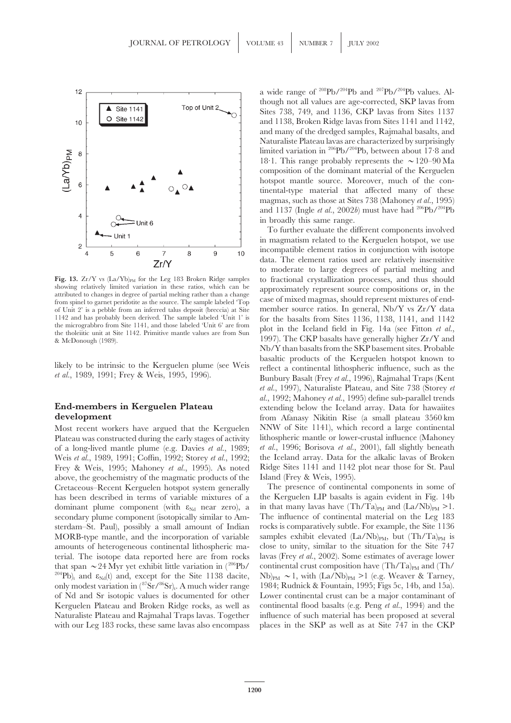

showing relatively limited variation in these ratios, which can be<br>attributed to changes in degree of partial melting rather than a change<br>from spinel to garnet peridotite as the source. The sample labeled Top case of mixe of Unit 2' is a pebble from an inferred talus deposit (breccia) at Site member source ratios. In general, Nb/Y vs Zr/Y data 1142 and has probably been derived. The sample labeled 'Unit 1' is<br>the basalts from Sites 1136, 1138, 1141, and 1142<br>the micrograbbro from Site 1141, and those labeled 'Unit 6' are from<br>plot in the Iceland field in Fig. 1 & McDonough (1989). 1997). The CKP basalts have generally higher  $Zr/Y$  and

Plateau was constructed during the early stages of activity lithospheric mantle or lower-crustal influence (Mahoney of a long-lived mantle plume (e.g. Davies *et al.*, 1989; *et al.*, 1996; Borisova *et al.*, 2001), fall of a long-lived mantle plume (e.g. Davies *et al.*, 1989; Weis *et al.*, 1989, 1991; Coffin, 1992; Storey *et al.*, 1992; the Iceland array. Data for the alkalic lavas of Broken Frey & Weis, 1995; Mahoney *et al.*, 1995). As noted Ridge Sites 1141 and 1142 plot near those for St. Paul above, the geochemistry of the magmatic products of the Island (Frey & Weis, 1995). Cretaceous–Recent Kerguelen hotspot system generally The presence of continental components in some of has been described in terms of variable mixtures of a the Kerguelen LIP basalts is again evident in Fig. 14b dominant plume component (with  $\varepsilon_{Nd}$  near zero), a secondary plume component (isotopically similar to Am- The influence of continental material on the Leg 183 sterdam–St. Paul), possibly a small amount of Indian rocks is comparatively subtle. For example, the Site 1136 MORB-type mantle, and the incorporation of variable samples exhibit elevated  $(La/Nb)_{PM}$ , but  $(Th/Ta)_{PM}$  is amounts of heterogeneous continental lithospheric ma- close to unity, similar to the situation for the Site 747 terial. The isotope data reported here are from rocks lavas (Frey *et al.*, 2002). Some estimates of average lower that span  $\sim$  24 Myr yet exhibit little variation in (<sup>206</sup>Pb/ continental crust composition have (Th/Ta)<sub>PM</sub> and (Th/ <sup>204</sup>Pb)<sub>t</sub> and  $\varepsilon_{Nd}(t)$  and, except for the Site 1138 dacite, only modest variation in ( ${}^{87}Sr/{}^{86}Sr$ )<sub>t</sub>. A much wider range 1984; Rudnick & Fountain, 1995; Figs 5c, 14b, and 15a). 66 Nd and Sr isotopic values is documented for other Lower continental crust can be a major contami of Nd and Sr isotopic values is documented for other Kerguelen Plateau and Broken Ridge rocks, as well as continental flood basalts (e.g. Peng *et al.*, 1994) and the Naturaliste Plateau and Rajmahal Traps lavas. Together influence of such material has been proposed at several with our Leg 183 rocks, these same lavas also encompass places in the SKP as well as at Site 747 in the CKP

a wide range of 208Pb/204Pb and 207Pb/204Pb values. Although not all values are age-corrected, SKP lavas from Sites 738, 749, and 1136, CKP lavas from Sites 1137 and 1138, Broken Ridge lavas from Sites 1141 and 1142, and many of the dredged samples, Rajmahal basalts, and Naturaliste Plateau lavas are characterized by surprisingly limited variation in 206Pb/204Pb, between about 17·8 and 18.1. This range probably represents the  $\sim$ 120–90 Ma composition of the dominant material of the Kerguelen hotspot mantle source. Moreover, much of the continental-type material that affected many of these magmas, such as those at Sites 738 (Mahoney *et al.*, 1995) and 1137 (Ingle *et al.*, 2002*b*) must have had 206Pb/204Pb in broadly this same range.

To further evaluate the different components involved in magmatism related to the Kerguelen hotspot, we use incompatible element ratios in conjunction with isotope data. The element ratios used are relatively insensitive to moderate to large degrees of partial melting and **Fig. 13.** Zr/Y vs (La/Yb)<sub>PM</sub> for the Leg 183 Broken Ridge samples to fractional crystallization processes, and thus should showing relatively limited variation in these ratios, which can be approximately represent source Nb/Y than basalts from the SKP basement sites. Probable likely to be intrinsic to the Kerguelen plume (see Weis basaltic products of the Kerguelen hotspot known to reflect a continental lithospheric influence, such as the et al., 1989, 1991; Frey & Weis, 1995, 1996). Bajmahal T *et al.*, 1997), Naturaliste Plateau, and Site 738 (Storey *et al.*, 1992; Mahoney *et al.*, 1995) define sub-parallel trends **End-members in Kerguelen Plateau** extending below the Iceland array. Data for hawaiites **development** from Afanasy Nikitin Rise (a small plateau 3560 km **development** from Afanasy Nikitin Rise (a small plateau 3560 km Most recent workers have argued that the Kerguelen NNW of Site 1141), which record a large continental

> in that many lavas have  $(Th/Ta)_{PM}$  and  $(La/Nb)_{PM} > 1$ . Nb)<sub>PM</sub>  $\sim$  1, with (La/Nb)<sub>PM</sub>  $>$ 1 (e.g. Weaver & Tarney, 1984; Rudnick & Fountain, 1995; Figs 5c, 14b, and 15a).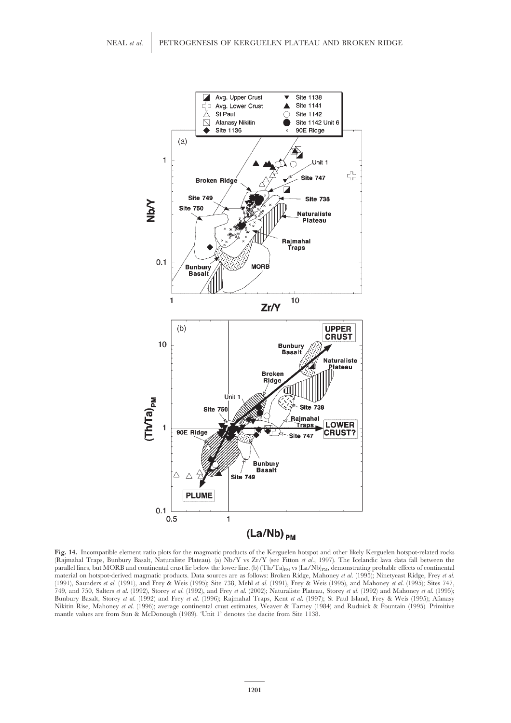

Fig. 14. Incompatible element ratio plots for the magmatic products of the Kerguelen hotspot and other likely Kerguelen hotspot-related rocks (Rajmahal Traps, Bunbury Basalt, Naturaliste Plateau). (a) Nb/Y vs Zr/Y (see Fitton *et al.*, 1997). The Icelandic lava data fall between the parallel lines, but MORB and continental crust lie below the lower line. (b)  $(Th/Ta)_{PM}$  vs  $(La/Nb)_{PM}$ , demonstrating probable effects of continental material on hotspot-derived magmatic products. Data sources are as follows: Broken Ridge, Mahoney *et al.* (1995); Ninetyeast Ridge, Frey *et al.* (1991), Saunders *et al.* (1991), and Frey & Weis (1995); Site 738, Mehl *et al.* (1991), Frey & Weis (1995), and Mahoney *et al.* (1995); Sites 747, 749, and 750, Salters *et al.* (1992), Storey *et al.* (1992), and Frey *et al.* (2002); Naturaliste Plateau, Storey *et al.* (1992) and Mahoney *et al.* (1995); Bunbury Basalt, Storey *et al.* (1992) and Frey *et al.* (1996); Rajmahal Traps, Kent *et al.* (1997); St Paul Island, Frey & Weis (1995); Afanasy Nikitin Rise, Mahoney *et al.* (1996); average continental crust estimates, Weaver & Tarney (1984) and Rudnick & Fountain (1995). Primitive mantle values are from Sun & McDonough (1989). 'Unit 1' denotes the dacite from Site 1138.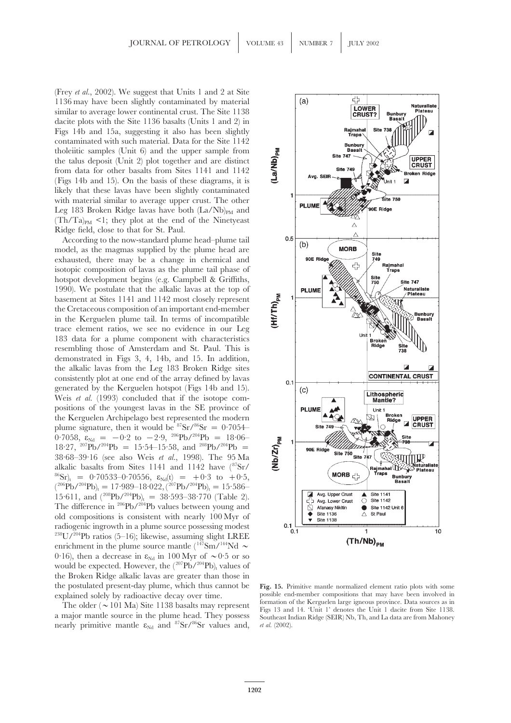(Frey *et al.*, 2002). We suggest that Units 1 and 2 at Site 1136 may have been slightly contaminated by material similar to average lower continental crust. The Site 1138 dacite plots with the Site 1136 basalts (Units 1 and 2) in Figs 14b and 15a, suggesting it also has been slightly contaminated with such material. Data for the Site 1142 tholeiitic samples (Unit 6) and the upper sample from the talus deposit (Unit 2) plot together and are distinct from data for other basalts from Sites 1141 and 1142 (Figs 14b and 15). On the basis of these diagrams, it is likely that these lavas have been slightly contaminated with material similar to average upper crust. The other Leg 183 Broken Ridge lavas have both  $(La/Nb)_{PM}$  and  $(Th/Ta)_{PM}$  <1; they plot at the end of the Ninetyeast Ridge field, close to that for St. Paul.

According to the now-standard plume head–plume tail model, as the magmas supplied by the plume head are exhausted, there may be a change in chemical and isotopic composition of lavas as the plume tail phase of hotspot development begins (e.g. Campbell & Griffiths, 1990). We postulate that the alkalic lavas at the top of basement at Sites 1141 and 1142 most closely represent the Cretaceous composition of an important end-member in the Kerguelen plume tail. In terms of incompatible trace element ratios, we see no evidence in our Leg 183 data for a plume component with characteristics resembling those of Amsterdam and St. Paul. This is demonstrated in Figs 3, 4, 14b, and 15. In addition, the alkalic lavas from the Leg 183 Broken Ridge sites consistently plot at one end of the array defined by lavas generated by the Kerguelen hotspot (Figs 14b and 15). Weis *et al.* (1993) concluded that if the isotope compositions of the youngest lavas in the SE province of the Kerguelen Archipelago best represented the modern plume signature, then it would be  ${}^{87}Sr/{}^{86}Sr = 0.7054 0.7058$ ,  $\varepsilon_{Nd} = -0.2$  to  $-2.9$ ,  $^{206}Pb/^{204}Pb = 18.06 18.27, \frac{207}{Pb}/^{204}Pb = 15.54 - 15.58$ , and  $\frac{208}{Pb}/^{204}Pb =$ 38·68–39·16 (see also Weis *et al.*, 1998). The 95 Ma alkalic basalts from Sites 1141 and 1142 have  $(^{87}Sr/$  ${}^{86}\text{Sr}\text{)}_{\text{t}}$  = 0.70533-0.70556,  $\varepsilon_{\text{Nd}}(t)$  = +0.3 to +0.5,  $(^{206}\text{Pb}/^{204}\text{Pb})_{t} = 17.989 - 18.022$ ,  $(^{207}\text{Pb}/^{204}\text{Pb})_{t} = 15.586 -$ 15·611, and  $(^{208}Pb/^{204}Pb)_t = 38.593-38.770$  (Table 2). The difference in  $^{206}Pb/^{204}Pb$  values between young and old compositions is consistent with nearly 100 Myr of radiogenic ingrowth in a plume source possessing modest  $238$ U/ $204$ Pb ratios (5–16); likewise, assuming slight LREE enrichment in the plume source mantle ( $147$ Sm/ $144$ Nd  $\sim$ 0.16), then a decrease in  $\varepsilon_{Nd}$  in 100 Myr of  $\sim 0.5$  or so would be expected. However, the  $(^{207}Pb/^{204}Pb)$ <sub>t</sub> values of the Broken Ridge alkalic lavas are greater than those in the postulated present-day plume, which thus cannot be **Fig. 15.** Primitive mantle normalized element ratio plots with some explained solely by radioactive decay over time.

a major mantle source in the plume head. They possess nearly primitive mantle  $\varepsilon_{Nd}$  and  ${}^{87}Sr/{}^{86}Sr$  values and, *et al.* (2002).



explained solely by radioactive decay over time.<br>
The older  $(\sim 101 \text{ Ma})$  Site 1138 basalts may represent<br>
a major mantle source in the plume head. They possess serves as in Southeast Indian Ridge (SEIR) Nb, Th, and La da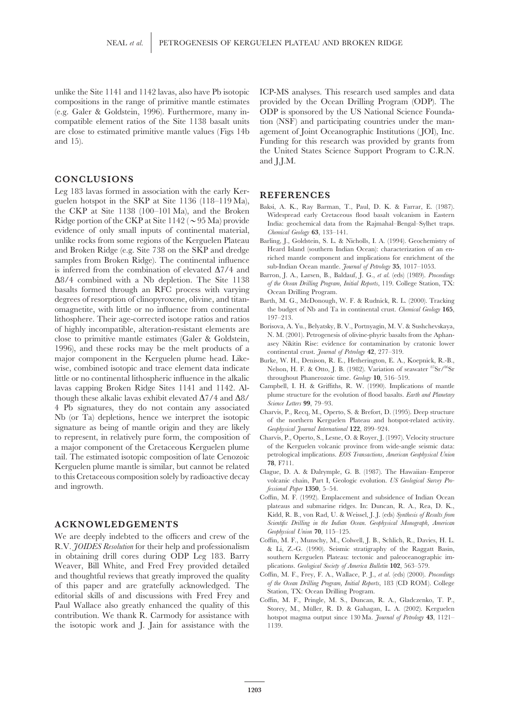### **CONCLUSIONS**

Leg 183 lavas formed in association with the early Ker-<br>guelen hotspot in the SKP at Site 1136 (118–119 Ma),<br>the CKP at Site 1138 (100–101 Ma), and the Broken<br>Widespread early Cretaceous flood basalt volcanism in Eastern Ridge portion of the CKP at Site  $1142 (\sim 95 \text{ Ma})$  provide India: geochemical data from the Rajmahal–Bengal–Sylhet traps. evidence of only small inputs of continental material, *Chemical Geology* **63**, 133–141. unlike rocks from some regions of the Kerguelen Plateau Barling, J., Goldstein, S. L. & Nicholls, I. A. (1994). Geochemistry of and Broken Ridge (e.g. Site 738 on the SKP and dredge Heard Island (southern Indian Ocean): characterization of an en-<br>samples from Broken Ridge). The continental influence riched mantle component and implications for enri samples from Broken Ridge). The continental influence is inferred from the combination of elevated  $\Delta 7/4$  and<br>is inferred from the combination of elevated  $\Delta 7/4$  and<br> $\Delta 8/4$  combined with a Nb depletion. The Site 113 degrees of resorption of clinopyroxene, olivine, and titan- Barth, M. G., McDonough, W. F. & Rudnick, R. L. (2000). Tracking omagnetite, with little or no influence from continental the budget of Nb and Ta in continental crust. *Chemical Geology* **165**, lithosphere. Their age-corrected isotope ratios and ratios  $197-213$ .<br>of bigbly incompatible, alteration resistant elements are Borisova, A. Yu., Belyatsky, B. V., Portnyagin, M. V. & Sushchevskaya, of highly incompatible, alteration-resistant elements are<br>close to primitive mantle estimates (Galer & Goldstein,<br>1996), and these rocks may be the melt products of a<br>major component in the Kerguelen plume head. Like-<br> $\frac$ major component in the Kerguelen plume head. Like-<br>wise, combined isotopic and trace element data indicate<br>Nelson, H. F. & Otto, J. B. (1982). Variation of seawater <sup>87</sup>Sr/<sup>86</sup>Sr little or no continental lithospheric influence in the alkalic throughout Phanerozoic time. *Geology* **10**, 516–519. lavas capping Broken Ridge Sites 1141 and 1142. Al-<br>though these alkalic lavas exhibit elevated  $\Delta 7/4$  and  $\Delta 8/$ <br>Science Letters 99, 79–93. 4 Pb signatures, they do not contain any associated<br>Nb (or Ta) depletions, hence we interpret the isotopic<br>of the northern Kerguelen Plateau and hotspot-related activity. signature as being of mantle origin and they are likely *Geophysical Journal International* **122**, 899–924. to represent, in relatively pure form, the composition of Charvis, P., Operto, S., Lesne, O. & Royer, J. (1997). Velocity structure<br>a major component of the Cretaceous Kerguelen plume of the Kerguelen volcanic province fro a major component of the Cretaceous Kerguelen plume of the Kerguelen volcanic province from wide-angle seismic data:<br>tail The estimated isotopic composition of late Cenozoic petrological implications. EOS Transactions, Ame tail. The estimated isotopic composition of late Cenozoic entrological implications. EOS Transactions, American Geophysical Union<br>
Kerguelen plume mantle is similar, but cannot be related<br>
to this Cretaceous composition so

We are deeply indebted to the officers and crew of the<br>
R.V. JOIDES Resolution for their help and professionalism<br>
in obtaining drill cores during ODP Leg 183. Barry<br>
in obtaining drill cores during ODP Leg 183. Barry<br>
sou Weaver, Bill White, and Fred Frey provided detailed plications. *Geological Society of America Bulletin* **102**, 563–579. and thoughtful reviews that greatly improved the quality Coffin, M. F., Frey, F. A., Wallace, P. J., *et al.* (eds) (2000). *Proceedings*<br>of this paper, and are gratefully acknowledged. The of the Ocean Drilling Program, I of this paper and are gratefully acknowledged. The of the Ocean Drilling Program, Initial Reports, 183 (CD ROM). College<br>editorial skills of and discussions with Fred Frey and Coffin, M. F., Pringle, M. S., Duncan, R. A., contribution. We thank R. Carmody for assistance with hotspot magma output since 130 Ma. *Journal of Petrology* **43**, 1121– the isotopic work and J. Jain for assistance with the 1139.

unlike the Site 1141 and 1142 lavas, also have Pb isotopic ICP-MS analyses. This research used samples and data compositions in the range of primitive mantle estimates provided by the Ocean Drilling Program (ODP). The (e.g. Galer & Goldstein, 1996). Furthermore, many in- ODP is sponsored by the US National Science Foundacompatible element ratios of the Site 1138 basalt units tion (NSF) and participating countries under the manare close to estimated primitive mantle values (Figs 14b agement of Joint Oceanographic Institutions ( JOI), Inc. and 15). Funding for this research was provided by grants from the United States Science Support Program to C.R.N. and J.J.M.

- 
- 
- 
- 
- 
- Nelson, H. F. & Otto, J. B. (1982). Variation of seawater  ${}^{87}Sr/{}^{86}Sr$
- 
- 
- 
- 
- Coffin, M. F. (1992). Emplacement and subsidence of Indian Ocean plateaus and submarine ridges. In: Duncan, R. A., Rea, D. K., Kidd, R. B., von Rad, U. & Weissel, J. J. (eds) *Synthesis of Results from* **ACKNOWLEDGEMENTS** *Scientific Drilling in the Indian Ocean. Geophysical Monograph, American*
	- southern Kerguelen Plateau: tectonic and paleoceanographic im-
	-
	-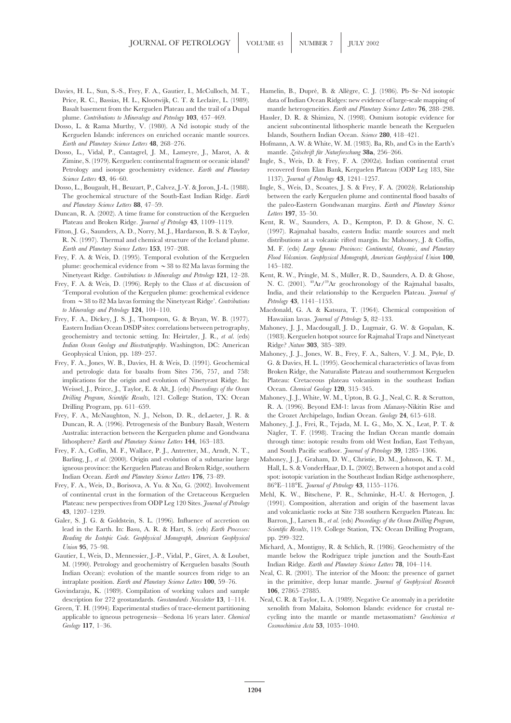- Davies, H. L., Sun, S.-S., Frey, F. A., Gautier, I., McCulloch, M. T., Hamelin, B., Dupré, B. & Allègre, C. J. (1986). Pb–Sr–Nd isotopic
- Kerguelen Islands: inferences on enriched oceanic mantle sources. Islands, Southern Indian Ocean. *Science* **280**, 418–421.
- Dosso, L., Vidal, P., Cantagrel, J. M., Lameyre, J., Marot, A. & mantle. *Zeitschrift fu¨r Naturforschung* **38a**, 256–266. Zimine, S. (1979). Kerguelen: continental fragment or oceanic island? Ingle, S., Weis, D. & Frey, F. A. (2002*a*). Indian continental crust *Science Letters* **43**, 46–60. 1137). *Journal of Petrology* **43**, 1241–1257.
- 
- Duncan, R. A. (2002). A time frame for construction of the Kerguelen *Letters* **197**, 35–50. Plateau and Broken Ridge. *Journal of Petrology* 43, 1109–1119. Kent, R. W., Saunders, A. D., Kempton, P. D. & Ghose, N. C.
- 
- plume: geochemical evidence from  $\sim$  38 to 82 Ma lavas forming the 145–182.
- from >38 to 82 Ma lavas forming the Ninetyeast Ridge'. *Contributions Petrology* **43**, 1141–1153.
- Frey, F. A., Dickey, J. S. J., Thompson, G. & Bryan, W. B. (1977). Hawaiian lavas. *Journal of Petrology* **5**, 82–133. *Indian Ocean Geology and Biostratigraphy*. Washington, DC: American Ridge? *Nature* **303**, 385–389. Geophysical Union, pp. 189–257. Mahoney, J. J., Jones, W. B., Frey, F. A., Salters, V. J. M., Pyle, D.
- Weissel, J., Peirce, J., Taylor, E. & Alt, J. (eds) *Proceedings of the Ocean* Ocean. *Chemical Geology* **120**, 315–345. *Drilling Program, Scientific Results*, 121. College Station, TX: Ocean Mahoney, J. J., White, W. M., Upton, B. G. J., Neal, C. R. & Scrutton,
- Frey, F. A., McNaughton, N. J., Nelson, D. R., deLaeter, J. R. & the Crozet Archipelago, Indian Ocean. *Geology* **24**, 615–618. Duncan, R. A. (1996). Petrogenesis of the Bunbury Basalt, Western Mahoney, J. J., Frei, R., Tejada, M. L. G., Mo, X. X., Leat, P. T. &
- Frey, F. A., Coffin, M. F., Wallace, P. J., Antretter, M., Arndt, N. T., and South Pacific seafloor. *Journal of Petrology* **39**, 1285–1306.
- Frey, F. A., Weis, D., Borisova, A. Yu. & Xu, G. (2002). Involvement 86°E–118°E. *Journal of Petrology* **43**, 1155–1176. of continental crust in the formation of the Cretaceous Kerguelen Mehl, K. W., Bitschene, P. R., Schminke, H.-U. & Hertogen, J.
- *Reading the Isotopic Code. Geophysical Monograph, American Geophysical* pp. 299–322.
- M. (1990). Petrology and geochemistry of Kerguelen basalts (South Indian Ridge. *Earth and Planetary Science Letters* **78**, 104–114. Indian Ocean): evolution of the mantle sources from ridge to an Neal, C. R. (2001). The interior of the Moon: the presence of garnet
- Govindaraju, K. (1989). Compilation of working values and sample **106**, 27865–27885.
- Green, T. H. (1994). Experimental studies of trace-element partitioning xenolith from Malaita, Solomon Islands: evidence for crustal re-*Geology* **117**, 1–36. *Cosmochimica Acta* **53**, 1035–1040.
- Price, R. C., Bassias, H. L., Klootwijk, C. T. & Leclaire, L. (1989). data of Indian Ocean Ridges: new evidence of large-scale mapping of Basalt basement from the Kerguelen Plateau and the trail of a Dupal mantle heterogeneities. *Earth and Planetary Science Letters* **76**, 288–298.
- plume. *Contributions to Mineralogy and Petrology* **103**, 457–469. Hassler, D. R. & Shimizu, N. (1998). Osmium isotopic evidence for Dosso, L. & Rama Murthy, V. (1980). A Nd isotopic study of the ancient subcontinental lithospheric mantle beneath the Kerguelen
	- *Earth and Planetary Science Letters* **48**, 268–276. Hofmann, A. W. & White, W. M. (1983). Ba, Rb, and Cs in the Earth's
	- Petrology and isotope geochemistry evidence. *Earth and Planetary* recovered from Elan Bank, Kerguelen Plateau (ODP Leg 183, Site
- Dosso, L., Bougault, H., Beuzart, P., Calvez, J.-Y. & Joron, J.-L. (1988). Ingle, S., Weis, D., Scoates, J. S. & Frey, F. A. (2002*b*). Relationship The geochemical structure of the South-East Indian Ridge. *Earth* between the early Kerguelen plume and continental flood basalts of *and Planetary Science Letters* **88**, 47–59. the paleo-Eastern Gondwanan margins. *Earth and Planetary Science*
- Fitton, J. G., Saunders, A. D., Norry, M. J., Hardarson, B. S. & Taylor, (1997). Rajmahal basalts, eastern India: mantle sources and melt R. N. (1997). Thermal and chemical structure of the Iceland plume. distributions at a volcanic rifted margin. In: Mahoney, J. & Coffin, *Earth and Planetary Science Letters* **153**, 197–208. M. F. (eds) *Large Igneous Provinces: Continental, Oceanic, and Planetary* Frey, F. A. & Weis, D. (1995). Temporal evolution of the Kerguelen *Flood Volcanism. Geophysical Monograph, American Geophysical Union* **100**,
- Ninetyeast Ridge. Contributions to Mineralogy and Petrology 121, 12–28. Kent, R. W., Pringle, M. S., Müller, R. D., Saunders, A. D. & Ghose, Frey, F. A. & Weis, D. (1996). Reply to the Class *et al.* discussion of N. C. (2001). <sup>40</sup>Ar/<sup>39</sup>Ar geochronology of the Rajmahal basalts, 'Temporal evolution of the Kerguelen plume: geochemical evidence India, and their relationship to the Kerguelen Plateau. *Journal of*
	- *to Mineralogy and Petrology* 124, 104–110. Macdonald, G. A. & Katsura, T. (1964). Chemical composition of
	- Eastern Indian Ocean DSDP sites: correlations between petrography, Mahoney, J. J., Macdougall, J. D., Lugmair, G. W. & Gopalan, K. geochemistry and tectonic setting. In: Heirtzler, J. R., *et al.* (eds) (1983). Kerguelen hotspot source for Rajmahal Traps and Ninetyeast
- Frey, F. A., Jones, W. B., Davies, H. & Weis, D. (1991). Geochemical G. & Davies, H. L. (1995). Geochemical characteristics of lavas from and petrologic data for basalts from Sites 756, 757, and 758: Broken Ridge, the Naturaliste Plateau and southernmost Kerguelen implications for the origin and evolution of Ninetyeast Ridge. In: Plateau: Cretaceous plateau volcanism in the southeast Indian
	- Drilling Program, pp. 611–659. R. A. (1996). Beyond EM-1: lavas from Afanasy-Nikitin Rise and
	- Australia: interaction between the Kerguelen plume and Gondwana Nägler, T. F. (1998). Tracing the Indian Ocean mantle domain lithosphere? *Earth and Planetary Science Letters* **144**, 163–183. through time: isotopic results from old West Indian, East Tethyan,
	- Barling, J., *et al.* (2000). Origin and evolution of a submarine large Mahoney, J. J., Graham, D. W., Christie, D. M., Johnson, K. T. M., igneous province: the Kerguelen Plateau and Broken Ridge, southern Hall, L. S. & VonderHaar, D. L. (2002). Between a hotspot and a cold Indian Ocean. *Earth and Planetary Science Letters* **176**, 73–89. spot: isotopic variation in the Southeast Indian Ridge asthenosphere,
- Plateau: new perspectives from ODP Leg 120 Sites. *Journal of Petrology* (1991). Composition, alteration and origin of the basement lavas **43**, 1207–1239. and volcaniclastic rocks at Site 738 southern Kerguelen Plateau. In: Galer, S. J. G. & Goldstein, S. L. (1996). Influence of accretion on Barron, J., Larsen B., *et al.* (eds) *Proceedings of the Ocean Drilling Program,* lead in the Earth. In: Basu, A. R. & Hart, S. (eds) *Earth Processes: Scientific Results*, 119. College Station, TX: Ocean Drilling Program,
- *Union* **95**, 75–98. Michard, A., Montigny, R. & Schlich, R. (1986). Geochemistry of the Gautier, I., Weis, D., Mennessier, J.-P., Vidal, P., Giret, A. & Loubet, mantle below the Rodriguez triple junction and the South-East
	- intraplate position. *Earth and Planetary Science Letters* **100**, 59–76. in the primitive, deep lunar mantle. *Journal of Geophysical Research*
	- description for 272 geostandards. *Geostandards Newsletter* **13**, 1–114. Neal, C. R. & Taylor, L. A. (1989). Negative Ce anomaly in a peridotite applicable to igneous petrogenesis—Sedona 16 years later. *Chemical* cycling into the mantle or mantle metasomatism? *Geochimica et*